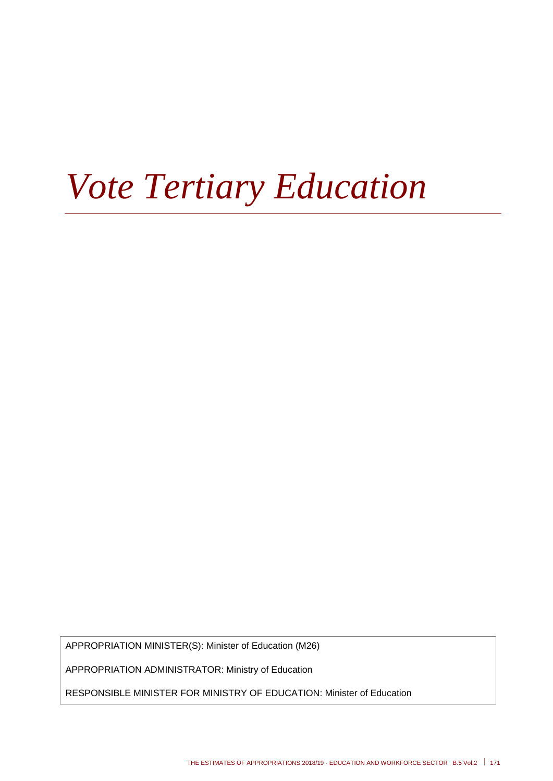# *Vote Tertiary Education*

APPROPRIATION MINISTER(S): Minister of Education (M26)

APPROPRIATION ADMINISTRATOR: Ministry of Education

RESPONSIBLE MINISTER FOR MINISTRY OF EDUCATION: Minister of Education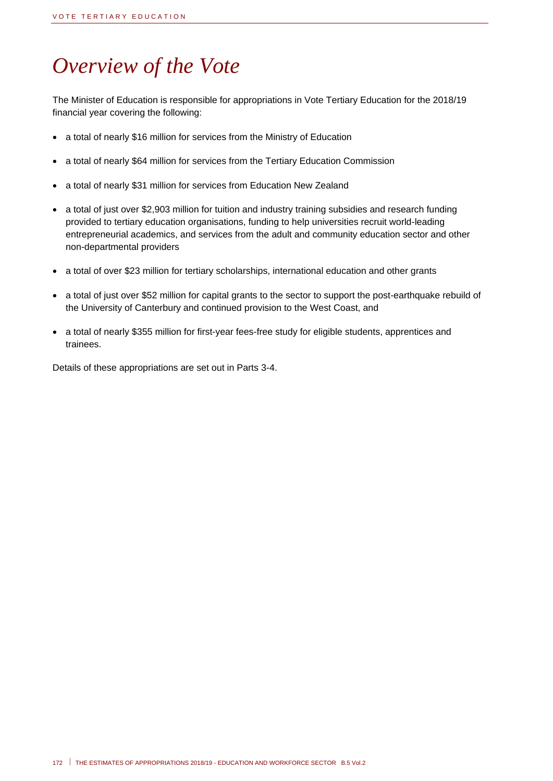## *Overview of the Vote*

The Minister of Education is responsible for appropriations in Vote Tertiary Education for the 2018/19 financial year covering the following:

- a total of nearly \$16 million for services from the Ministry of Education
- a total of nearly \$64 million for services from the Tertiary Education Commission
- a total of nearly \$31 million for services from Education New Zealand
- a total of just over \$2,903 million for tuition and industry training subsidies and research funding provided to tertiary education organisations, funding to help universities recruit world-leading entrepreneurial academics, and services from the adult and community education sector and other non-departmental providers
- a total of over \$23 million for tertiary scholarships, international education and other grants
- a total of just over \$52 million for capital grants to the sector to support the post-earthquake rebuild of the University of Canterbury and continued provision to the West Coast, and
- a total of nearly \$355 million for first-year fees-free study for eligible students, apprentices and trainees.

Details of these appropriations are set out in Parts 3-4.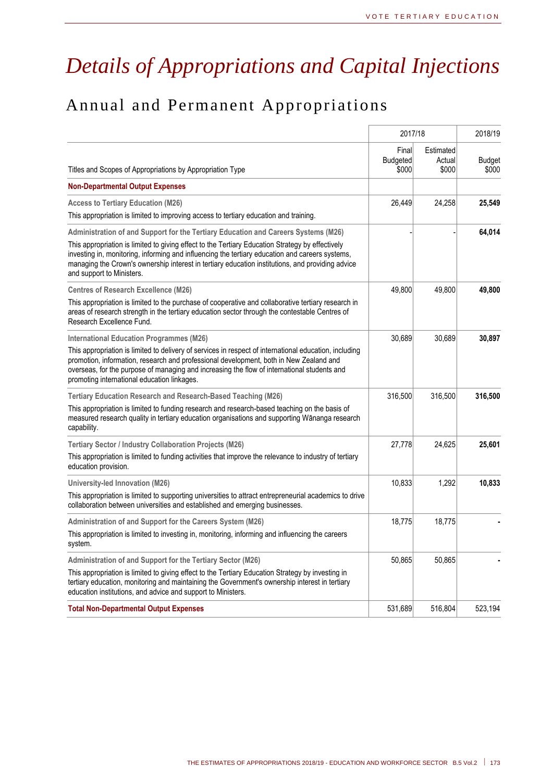## *Details of Appropriations and Capital Injections*

## Annual and Permanent Appropriations

|                                                                                                                                                                                                                                                                                                                                                                                                                            | 2017/18                           | 2018/19                      |                        |
|----------------------------------------------------------------------------------------------------------------------------------------------------------------------------------------------------------------------------------------------------------------------------------------------------------------------------------------------------------------------------------------------------------------------------|-----------------------------------|------------------------------|------------------------|
| Titles and Scopes of Appropriations by Appropriation Type                                                                                                                                                                                                                                                                                                                                                                  | Final<br><b>Budgeted</b><br>\$000 | Estimated<br>Actual<br>\$000 | <b>Budget</b><br>\$000 |
| <b>Non-Departmental Output Expenses</b>                                                                                                                                                                                                                                                                                                                                                                                    |                                   |                              |                        |
| <b>Access to Tertiary Education (M26)</b><br>This appropriation is limited to improving access to tertiary education and training.                                                                                                                                                                                                                                                                                         | 26,449                            | 24,258                       | 25,549                 |
| Administration of and Support for the Tertiary Education and Careers Systems (M26)<br>This appropriation is limited to giving effect to the Tertiary Education Strategy by effectively<br>investing in, monitoring, informing and influencing the tertiary education and careers systems,<br>managing the Crown's ownership interest in tertiary education institutions, and providing advice<br>and support to Ministers. |                                   |                              | 64,014                 |
| <b>Centres of Research Excellence (M26)</b>                                                                                                                                                                                                                                                                                                                                                                                | 49,800                            | 49,800                       | 49,800                 |
| This appropriation is limited to the purchase of cooperative and collaborative tertiary research in<br>areas of research strength in the tertiary education sector through the contestable Centres of<br>Research Excellence Fund.                                                                                                                                                                                         |                                   |                              |                        |
| <b>International Education Programmes (M26)</b>                                                                                                                                                                                                                                                                                                                                                                            | 30,689                            | 30,689                       | 30,897                 |
| This appropriation is limited to delivery of services in respect of international education, including<br>promotion, information, research and professional development, both in New Zealand and<br>overseas, for the purpose of managing and increasing the flow of international students and<br>promoting international education linkages.                                                                             |                                   |                              |                        |
| <b>Tertiary Education Research and Research-Based Teaching (M26)</b>                                                                                                                                                                                                                                                                                                                                                       | 316,500                           | 316,500                      | 316,500                |
| This appropriation is limited to funding research and research-based teaching on the basis of<br>measured research quality in tertiary education organisations and supporting Wānanga research<br>capability.                                                                                                                                                                                                              |                                   |                              |                        |
| Tertiary Sector / Industry Collaboration Projects (M26)                                                                                                                                                                                                                                                                                                                                                                    | 27,778                            | 24,625                       | 25,601                 |
| This appropriation is limited to funding activities that improve the relevance to industry of tertiary<br>education provision.                                                                                                                                                                                                                                                                                             |                                   |                              |                        |
| University-led Innovation (M26)                                                                                                                                                                                                                                                                                                                                                                                            | 10,833                            | 1,292                        | 10,833                 |
| This appropriation is limited to supporting universities to attract entrepreneurial academics to drive<br>collaboration between universities and established and emerging businesses.                                                                                                                                                                                                                                      |                                   |                              |                        |
| Administration of and Support for the Careers System (M26)                                                                                                                                                                                                                                                                                                                                                                 | 18,775                            | 18,775                       |                        |
| This appropriation is limited to investing in, monitoring, informing and influencing the careers<br>system.                                                                                                                                                                                                                                                                                                                |                                   |                              |                        |
| Administration of and Support for the Tertiary Sector (M26)                                                                                                                                                                                                                                                                                                                                                                | 50,865                            | 50,865                       |                        |
| This appropriation is limited to giving effect to the Tertiary Education Strategy by investing in<br>tertiary education, monitoring and maintaining the Government's ownership interest in tertiary<br>education institutions, and advice and support to Ministers.                                                                                                                                                        |                                   |                              |                        |
| <b>Total Non-Departmental Output Expenses</b>                                                                                                                                                                                                                                                                                                                                                                              | 531,689                           | 516,804                      | 523,194                |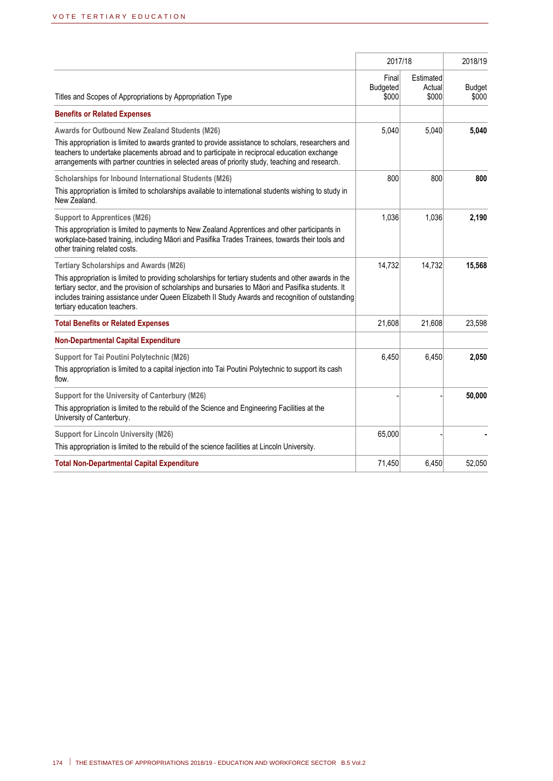|                                                                                                                                                                                                                                                                                                                                                                                                    | 2017/18                           | 2018/19                      |                        |
|----------------------------------------------------------------------------------------------------------------------------------------------------------------------------------------------------------------------------------------------------------------------------------------------------------------------------------------------------------------------------------------------------|-----------------------------------|------------------------------|------------------------|
| Titles and Scopes of Appropriations by Appropriation Type                                                                                                                                                                                                                                                                                                                                          | Final<br><b>Budgeted</b><br>\$000 | Estimated<br>Actual<br>\$000 | <b>Budget</b><br>\$000 |
| <b>Benefits or Related Expenses</b>                                                                                                                                                                                                                                                                                                                                                                |                                   |                              |                        |
| <b>Awards for Outbound New Zealand Students (M26)</b><br>This appropriation is limited to awards granted to provide assistance to scholars, researchers and<br>teachers to undertake placements abroad and to participate in reciprocal education exchange<br>arrangements with partner countries in selected areas of priority study, teaching and research.                                      | 5,040                             | 5,040                        | 5,040                  |
| Scholarships for Inbound International Students (M26)<br>This appropriation is limited to scholarships available to international students wishing to study in<br>New Zealand.                                                                                                                                                                                                                     | 800                               | 800                          | 800                    |
| <b>Support to Apprentices (M26)</b><br>This appropriation is limited to payments to New Zealand Apprentices and other participants in<br>workplace-based training, including Māori and Pasifika Trades Trainees, towards their tools and<br>other training related costs.                                                                                                                          | 1,036                             | 1,036                        | 2,190                  |
| <b>Tertiary Scholarships and Awards (M26)</b><br>This appropriation is limited to providing scholarships for tertiary students and other awards in the<br>tertiary sector, and the provision of scholarships and bursaries to Māori and Pasifika students. It<br>includes training assistance under Queen Elizabeth II Study Awards and recognition of outstanding<br>tertiary education teachers. | 14,732                            | 14,732                       | 15,568                 |
| <b>Total Benefits or Related Expenses</b>                                                                                                                                                                                                                                                                                                                                                          | 21,608                            | 21,608                       | 23,598                 |
| <b>Non-Departmental Capital Expenditure</b>                                                                                                                                                                                                                                                                                                                                                        |                                   |                              |                        |
| <b>Support for Tai Poutini Polytechnic (M26)</b><br>This appropriation is limited to a capital injection into Tai Poutini Polytechnic to support its cash<br>flow.                                                                                                                                                                                                                                 | 6,450                             | 6,450                        | 2,050                  |
| Support for the University of Canterbury (M26)<br>This appropriation is limited to the rebuild of the Science and Engineering Facilities at the<br>University of Canterbury.                                                                                                                                                                                                                       |                                   |                              | 50,000                 |
| <b>Support for Lincoln University (M26)</b><br>This appropriation is limited to the rebuild of the science facilities at Lincoln University.                                                                                                                                                                                                                                                       | 65,000                            |                              |                        |
| <b>Total Non-Departmental Capital Expenditure</b>                                                                                                                                                                                                                                                                                                                                                  | 71,450                            | 6,450                        | 52,050                 |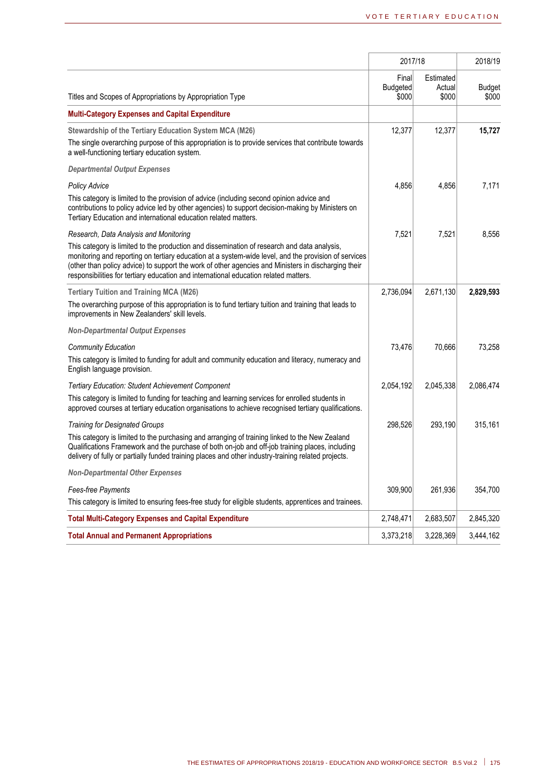|                                                                                                                                                                                                                                                                                                                                                                                                    |                                   | 2017/18                      |                        |  |
|----------------------------------------------------------------------------------------------------------------------------------------------------------------------------------------------------------------------------------------------------------------------------------------------------------------------------------------------------------------------------------------------------|-----------------------------------|------------------------------|------------------------|--|
| Titles and Scopes of Appropriations by Appropriation Type                                                                                                                                                                                                                                                                                                                                          | Final<br><b>Budgeted</b><br>\$000 | Estimated<br>Actual<br>\$000 | <b>Budget</b><br>\$000 |  |
| <b>Multi-Category Expenses and Capital Expenditure</b>                                                                                                                                                                                                                                                                                                                                             |                                   |                              |                        |  |
| Stewardship of the Tertiary Education System MCA (M26)                                                                                                                                                                                                                                                                                                                                             | 12,377                            | 12,377                       | 15,727                 |  |
| The single overarching purpose of this appropriation is to provide services that contribute towards<br>a well-functioning tertiary education system.                                                                                                                                                                                                                                               |                                   |                              |                        |  |
| <b>Departmental Output Expenses</b>                                                                                                                                                                                                                                                                                                                                                                |                                   |                              |                        |  |
| Policy Advice                                                                                                                                                                                                                                                                                                                                                                                      | 4,856                             | 4,856                        | 7,171                  |  |
| This category is limited to the provision of advice (including second opinion advice and<br>contributions to policy advice led by other agencies) to support decision-making by Ministers on<br>Tertiary Education and international education related matters.                                                                                                                                    |                                   |                              |                        |  |
| Research, Data Analysis and Monitoring                                                                                                                                                                                                                                                                                                                                                             | 7,521                             | 7,521                        | 8,556                  |  |
| This category is limited to the production and dissemination of research and data analysis,<br>monitoring and reporting on tertiary education at a system-wide level, and the provision of services<br>(other than policy advice) to support the work of other agencies and Ministers in discharging their<br>responsibilities for tertiary education and international education related matters. |                                   |                              |                        |  |
| <b>Tertiary Tuition and Training MCA (M26)</b>                                                                                                                                                                                                                                                                                                                                                     | 2,736,094                         | 2,671,130                    | 2,829,593              |  |
| The overarching purpose of this appropriation is to fund tertiary tuition and training that leads to<br>improvements in New Zealanders' skill levels.                                                                                                                                                                                                                                              |                                   |                              |                        |  |
| <b>Non-Departmental Output Expenses</b>                                                                                                                                                                                                                                                                                                                                                            |                                   |                              |                        |  |
| <b>Community Education</b>                                                                                                                                                                                                                                                                                                                                                                         | 73,476                            | 70,666                       | 73,258                 |  |
| This category is limited to funding for adult and community education and literacy, numeracy and<br>English language provision.                                                                                                                                                                                                                                                                    |                                   |                              |                        |  |
| <b>Tertiary Education: Student Achievement Component</b>                                                                                                                                                                                                                                                                                                                                           | 2,054,192                         | 2,045,338                    | 2,086,474              |  |
| This category is limited to funding for teaching and learning services for enrolled students in<br>approved courses at tertiary education organisations to achieve recognised tertiary qualifications.                                                                                                                                                                                             |                                   |                              |                        |  |
| <b>Training for Designated Groups</b>                                                                                                                                                                                                                                                                                                                                                              | 298,526                           | 293,190                      | 315,161                |  |
| This category is limited to the purchasing and arranging of training linked to the New Zealand<br>Qualifications Framework and the purchase of both on-job and off-job training places, including<br>delivery of fully or partially funded training places and other industry-training related projects.                                                                                           |                                   |                              |                        |  |
| <b>Non-Departmental Other Expenses</b>                                                                                                                                                                                                                                                                                                                                                             |                                   |                              |                        |  |
| Fees-free Payments                                                                                                                                                                                                                                                                                                                                                                                 | 309,900                           | 261,936                      | 354,700                |  |
| This category is limited to ensuring fees-free study for eligible students, apprentices and trainees.                                                                                                                                                                                                                                                                                              |                                   |                              |                        |  |
| <b>Total Multi-Category Expenses and Capital Expenditure</b>                                                                                                                                                                                                                                                                                                                                       | 2,748,471                         | 2,683,507                    | 2,845,320              |  |
| <b>Total Annual and Permanent Appropriations</b>                                                                                                                                                                                                                                                                                                                                                   | 3,373,218                         | 3,228,369                    | 3,444,162              |  |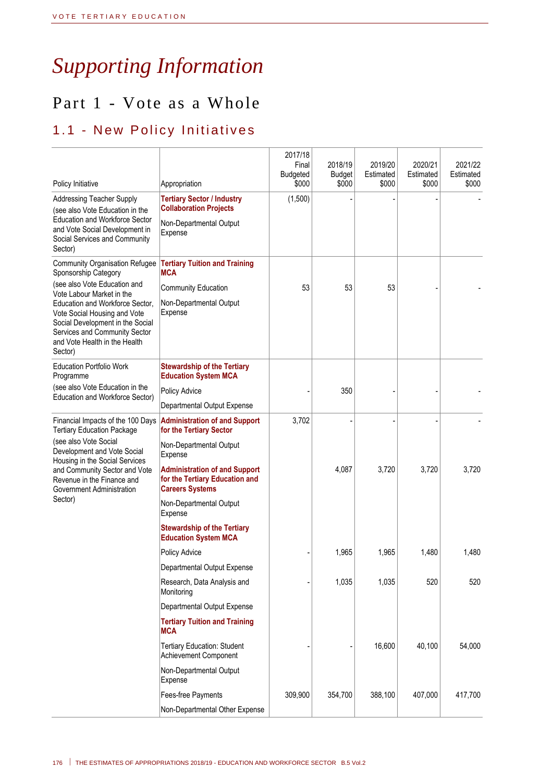## *Supporting Information*

## Part 1 - Vote as a Whole

## 1.1 - New Policy Initiatives

| Policy Initiative                                                                                                                                                                | Appropriation                                                                                    | 2017/18<br>Final<br><b>Budgeted</b><br>\$000 | 2018/19<br><b>Budget</b><br>\$000 | 2019/20<br>Estimated<br>\$000 | 2020/21<br>Estimated<br>\$000 | 2021/22<br>Estimated<br>\$000 |
|----------------------------------------------------------------------------------------------------------------------------------------------------------------------------------|--------------------------------------------------------------------------------------------------|----------------------------------------------|-----------------------------------|-------------------------------|-------------------------------|-------------------------------|
| <b>Addressing Teacher Supply</b>                                                                                                                                                 | <b>Tertiary Sector / Industry</b><br><b>Collaboration Projects</b>                               | (1,500)                                      |                                   |                               |                               |                               |
| (see also Vote Education in the<br><b>Education and Workforce Sector</b><br>and Vote Social Development in<br>Social Services and Community<br>Sector)                           | Non-Departmental Output<br>Expense                                                               |                                              |                                   |                               |                               |                               |
| <b>Community Organisation Refugee</b><br>Sponsorship Category                                                                                                                    | <b>Tertiary Tuition and Training</b><br><b>MCA</b>                                               |                                              |                                   |                               |                               |                               |
| (see also Vote Education and<br>Vote Labour Market in the                                                                                                                        | <b>Community Education</b>                                                                       | 53                                           | 53                                | 53                            |                               |                               |
| Education and Workforce Sector.<br>Vote Social Housing and Vote<br>Social Development in the Social<br>Services and Community Sector<br>and Vote Health in the Health<br>Sector) | Non-Departmental Output<br>Expense                                                               |                                              |                                   |                               |                               |                               |
| <b>Education Portfolio Work</b><br>Programme                                                                                                                                     | <b>Stewardship of the Tertiary</b><br><b>Education System MCA</b>                                |                                              |                                   |                               |                               |                               |
| (see also Vote Education in the<br>Education and Workforce Sector)                                                                                                               | Policy Advice                                                                                    |                                              | 350                               |                               |                               |                               |
|                                                                                                                                                                                  | Departmental Output Expense                                                                      |                                              |                                   |                               |                               |                               |
| Financial Impacts of the 100 Days<br><b>Tertiary Education Package</b>                                                                                                           | <b>Administration of and Support</b><br>for the Tertiary Sector                                  | 3,702                                        |                                   |                               |                               |                               |
| (see also Vote Social<br>Development and Vote Social<br>Housing in the Social Services                                                                                           | Non-Departmental Output<br>Expense                                                               |                                              |                                   |                               |                               |                               |
| and Community Sector and Vote<br>Revenue in the Finance and<br>Government Administration                                                                                         | <b>Administration of and Support</b><br>for the Tertiary Education and<br><b>Careers Systems</b> |                                              | 4,087                             | 3,720                         | 3,720                         | 3,720                         |
| Sector)                                                                                                                                                                          | Non-Departmental Output<br>Expense                                                               |                                              |                                   |                               |                               |                               |
|                                                                                                                                                                                  | <b>Stewardship of the Tertiary</b><br><b>Education System MCA</b>                                |                                              |                                   |                               |                               |                               |
|                                                                                                                                                                                  | Policy Advice                                                                                    |                                              | 1,965                             | 1,965                         | 1,480                         | 1,480                         |
|                                                                                                                                                                                  | Departmental Output Expense                                                                      |                                              |                                   |                               |                               |                               |
|                                                                                                                                                                                  | Research, Data Analysis and<br>Monitoring                                                        |                                              | 1,035                             | 1,035                         | 520                           | 520                           |
|                                                                                                                                                                                  | Departmental Output Expense                                                                      |                                              |                                   |                               |                               |                               |
|                                                                                                                                                                                  | <b>Tertiary Tuition and Training</b><br><b>MCA</b>                                               |                                              |                                   |                               |                               |                               |
|                                                                                                                                                                                  | <b>Tertiary Education: Student</b><br>Achievement Component                                      |                                              |                                   | 16,600                        | 40,100                        | 54,000                        |
|                                                                                                                                                                                  | Non-Departmental Output<br>Expense                                                               |                                              |                                   |                               |                               |                               |
|                                                                                                                                                                                  | Fees-free Payments                                                                               | 309,900                                      | 354,700                           | 388,100                       | 407,000                       | 417,700                       |
|                                                                                                                                                                                  | Non-Departmental Other Expense                                                                   |                                              |                                   |                               |                               |                               |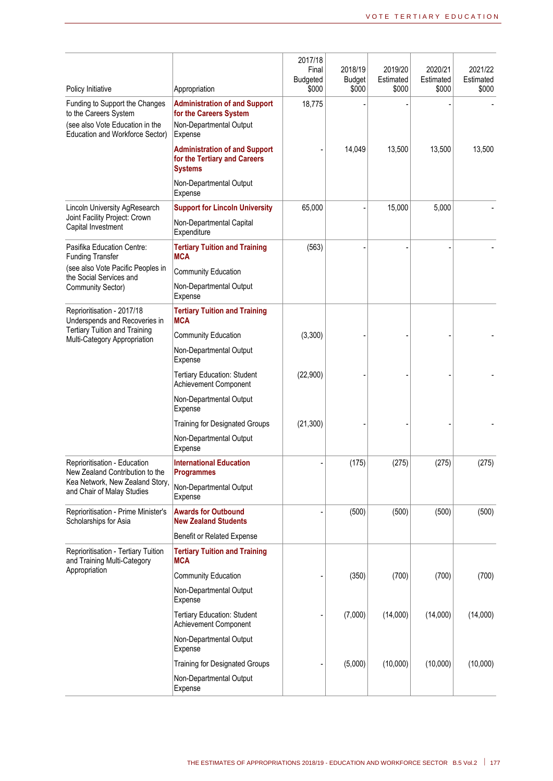|                                                                                                                               |                                                                                                      | 2017/18<br>Final<br>Budgeted | 2018/19<br><b>Budget</b> | 2019/20<br>Estimated | 2020/21<br>Estimated | 2021/22<br>Estimated |
|-------------------------------------------------------------------------------------------------------------------------------|------------------------------------------------------------------------------------------------------|------------------------------|--------------------------|----------------------|----------------------|----------------------|
| Policy Initiative                                                                                                             | Appropriation                                                                                        | \$000                        | \$000                    | \$000                | \$000                | \$000                |
| Funding to Support the Changes<br>to the Careers System<br>(see also Vote Education in the<br>Education and Workforce Sector) | <b>Administration of and Support</b><br>for the Careers System<br>Non-Departmental Output<br>Expense | 18,775                       |                          |                      |                      |                      |
|                                                                                                                               | <b>Administration of and Support</b><br>for the Tertiary and Careers<br><b>Systems</b>               |                              | 14,049                   | 13,500               | 13,500               | 13,500               |
|                                                                                                                               | Non-Departmental Output<br>Expense                                                                   |                              |                          |                      |                      |                      |
| Lincoln University AgResearch                                                                                                 | <b>Support for Lincoln University</b>                                                                | 65,000                       |                          | 15,000               | 5,000                |                      |
| Joint Facility Project: Crown<br>Capital Investment                                                                           | Non-Departmental Capital<br>Expenditure                                                              |                              |                          |                      |                      |                      |
| Pasifika Education Centre:<br><b>Funding Transfer</b>                                                                         | <b>Tertiary Tuition and Training</b><br><b>MCA</b>                                                   | (563)                        |                          |                      |                      |                      |
| (see also Vote Pacific Peoples in<br>the Social Services and                                                                  | <b>Community Education</b>                                                                           |                              |                          |                      |                      |                      |
| Community Sector)                                                                                                             | Non-Departmental Output<br>Expense                                                                   |                              |                          |                      |                      |                      |
| Reprioritisation - 2017/18<br>Underspends and Recoveries in                                                                   | <b>Tertiary Tuition and Training</b><br><b>MCA</b>                                                   |                              |                          |                      |                      |                      |
| <b>Tertiary Tuition and Training</b><br>Multi-Category Appropriation                                                          | <b>Community Education</b>                                                                           | (3,300)                      |                          |                      |                      |                      |
|                                                                                                                               | Non-Departmental Output<br>Expense                                                                   |                              |                          |                      |                      |                      |
|                                                                                                                               | <b>Tertiary Education: Student</b><br>Achievement Component                                          | (22,900)                     |                          |                      |                      |                      |
|                                                                                                                               | Non-Departmental Output<br>Expense                                                                   |                              |                          |                      |                      |                      |
|                                                                                                                               | <b>Training for Designated Groups</b>                                                                | (21, 300)                    |                          |                      |                      |                      |
|                                                                                                                               | Non-Departmental Output<br>Expense                                                                   |                              |                          |                      |                      |                      |
| Reprioritisation - Education<br>New Zealand Contribution to the                                                               | <b>International Education</b><br><b>Programmes</b>                                                  |                              | (175)                    | (275)                | (275)                | (275)                |
| Kea Network, New Zealand Story,<br>and Chair of Malay Studies                                                                 | Non-Departmental Output<br>Expense                                                                   |                              |                          |                      |                      |                      |
| Reprioritisation - Prime Minister's<br>Scholarships for Asia                                                                  | <b>Awards for Outbound</b><br><b>New Zealand Students</b>                                            |                              | (500)                    | (500)                | (500)                | (500)                |
|                                                                                                                               | Benefit or Related Expense                                                                           |                              |                          |                      |                      |                      |
| Reprioritisation - Tertiary Tuition<br>and Training Multi-Category                                                            | <b>Tertiary Tuition and Training</b><br><b>MCA</b>                                                   |                              |                          |                      |                      |                      |
| Appropriation                                                                                                                 | <b>Community Education</b>                                                                           |                              | (350)                    | (700)                | (700)                | (700)                |
|                                                                                                                               | Non-Departmental Output<br>Expense                                                                   |                              |                          |                      |                      |                      |
|                                                                                                                               | <b>Tertiary Education: Student</b><br>Achievement Component                                          |                              | (7,000)                  | (14,000)             | (14,000)             | (14,000)             |
|                                                                                                                               | Non-Departmental Output<br>Expense                                                                   |                              |                          |                      |                      |                      |
|                                                                                                                               | <b>Training for Designated Groups</b>                                                                |                              | (5,000)                  | (10,000)             | (10,000)             | (10,000)             |
|                                                                                                                               | Non-Departmental Output<br>Expense                                                                   |                              |                          |                      |                      |                      |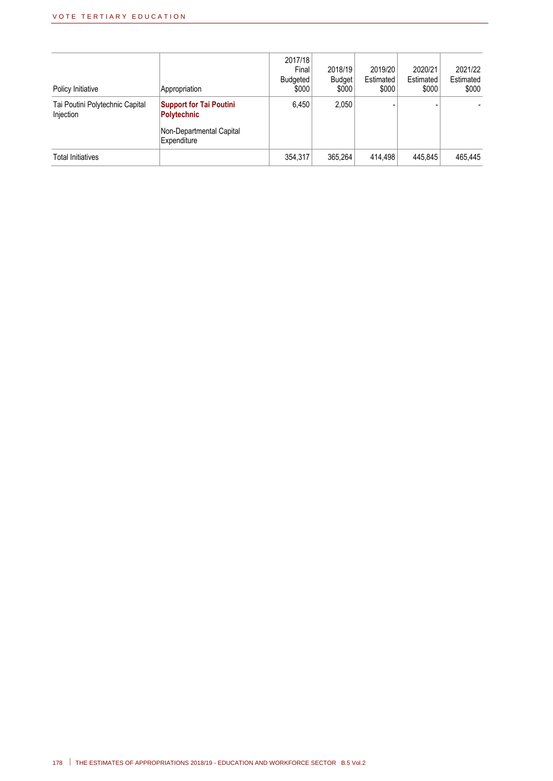| Policy Initiative                            | Appropriation                                                                    | 2017/18<br>Final<br><b>Budgeted</b><br>\$000 | 2018/19<br><b>Budget</b><br>\$000 | 2019/20<br>Estimated<br>\$000 | 2020/21<br>Estimated<br>\$000 | 2021/22<br>Estimated<br>\$000 |
|----------------------------------------------|----------------------------------------------------------------------------------|----------------------------------------------|-----------------------------------|-------------------------------|-------------------------------|-------------------------------|
| Tai Poutini Polytechnic Capital<br>Injection | <b>Support for Tai Poutini</b><br><b>Polytechnic</b><br>Non-Departmental Capital | 6,450                                        | 2,050                             |                               |                               |                               |
| Total Initiatives                            | Expenditure                                                                      | 354,317                                      | 365,264                           | 414.498                       | 445.845                       | 465.445                       |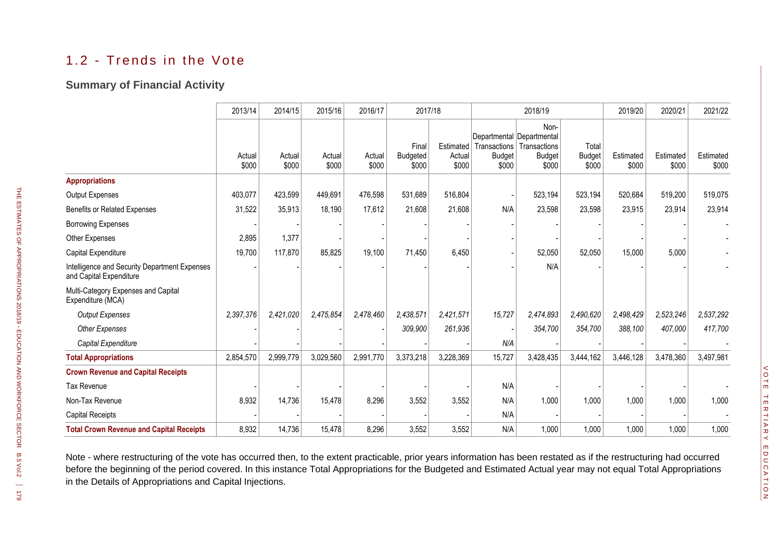## 1.2 - Trends in the Vote

#### **Summary of Financial Activity**

|                                                                          | 2013/14         | 2014/15         | 2015/16         | 2016/17         | 2017/18                           |                              |                                        | 2018/19                                                                     |                                 | 2019/20            | 2020/21            | 2021/22            |
|--------------------------------------------------------------------------|-----------------|-----------------|-----------------|-----------------|-----------------------------------|------------------------------|----------------------------------------|-----------------------------------------------------------------------------|---------------------------------|--------------------|--------------------|--------------------|
|                                                                          | Actual<br>\$000 | Actual<br>\$000 | Actual<br>\$000 | Actual<br>\$000 | Final<br><b>Budgeted</b><br>\$000 | Estimated<br>Actual<br>\$000 | Transactions<br><b>Budget</b><br>\$000 | Non-<br>Departmental Departmental<br>Transactions<br><b>Budget</b><br>\$000 | Total<br><b>Budget</b><br>\$000 | Estimated<br>\$000 | Estimated<br>\$000 | Estimated<br>\$000 |
| <b>Appropriations</b>                                                    |                 |                 |                 |                 |                                   |                              |                                        |                                                                             |                                 |                    |                    |                    |
| <b>Output Expenses</b>                                                   | 403,077         | 423,599         | 449,691         | 476,598         | 531,689                           | 516,804                      |                                        | 523,194                                                                     | 523,194                         | 520,684            | 519,200            | 519,075            |
| <b>Benefits or Related Expenses</b>                                      | 31,522          | 35,913          | 18,190          | 17,612          | 21,608                            | 21,608                       | N/A                                    | 23,598                                                                      | 23,598                          | 23,915             | 23,914             | 23,914             |
| <b>Borrowing Expenses</b>                                                |                 |                 |                 |                 |                                   |                              |                                        |                                                                             |                                 |                    |                    |                    |
| Other Expenses                                                           | 2,895           | 1,377           |                 |                 |                                   |                              |                                        |                                                                             |                                 |                    |                    |                    |
| Capital Expenditure                                                      | 19,700          | 117,870         | 85,825          | 19,100          | 71,450                            | 6,450                        |                                        | 52,050                                                                      | 52,050                          | 15,000             | 5,000              |                    |
| Intelligence and Security Department Expenses<br>and Capital Expenditure |                 |                 |                 |                 |                                   |                              |                                        | N/A                                                                         |                                 |                    |                    |                    |
| Multi-Category Expenses and Capital<br>Expenditure (MCA)                 |                 |                 |                 |                 |                                   |                              |                                        |                                                                             |                                 |                    |                    |                    |
| <b>Output Expenses</b>                                                   | 2,397,376       | 2,421,020       | 2,475,854       | 2,478,460       | 2,438,571                         | 2,421,571                    | 15,727                                 | 2,474,893                                                                   | 2,490,620                       | 2,498,429          | 2,523,246          | 2,537,292          |
| <b>Other Expenses</b>                                                    |                 |                 |                 |                 | 309,900                           | 261,936                      |                                        | 354,700                                                                     | 354,700                         | 388,100            | 407,000            | 417,700            |
| Capital Expenditure                                                      |                 |                 |                 |                 |                                   |                              | N/A                                    |                                                                             |                                 |                    |                    |                    |
| <b>Total Appropriations</b>                                              | 2,854,570       | 2,999,779       | 3,029,560       | 2,991,770       | 3,373,218                         | 3,228,369                    | 15,727                                 | 3,428,435                                                                   | 3,444,162                       | 3,446,128          | 3,478,360          | 3,497,981          |
| <b>Crown Revenue and Capital Receipts</b>                                |                 |                 |                 |                 |                                   |                              |                                        |                                                                             |                                 |                    |                    |                    |
| <b>Tax Revenue</b>                                                       |                 |                 |                 |                 |                                   |                              | N/A                                    |                                                                             |                                 |                    |                    |                    |
| Non-Tax Revenue                                                          | 8,932           | 14,736          | 15,478          | 8,296           | 3,552                             | 3,552                        | N/A                                    | 1,000                                                                       | 1,000                           | 1,000              | 1,000              | 1,000              |
| <b>Capital Receipts</b>                                                  |                 |                 |                 |                 |                                   |                              | N/A                                    |                                                                             |                                 |                    |                    |                    |
| <b>Total Crown Revenue and Capital Receipts</b>                          | 8,932           | 14,736          | 15,478          | 8,296           | 3,552                             | 3,552                        | N/A                                    | 1,000                                                                       | 1,000                           | 1,000              | 1,000              | 1,000              |

Note - where restructuring of the vote has occurred then, to the extent practicable, prior years information has been restated as if the restructuring had occurred before the beginning of the period covered. In this instance Total Appropriations for the Budgeted and Estimated Actual year may not equal Total Appropriations in the Details of Appropriations and Capital Injections.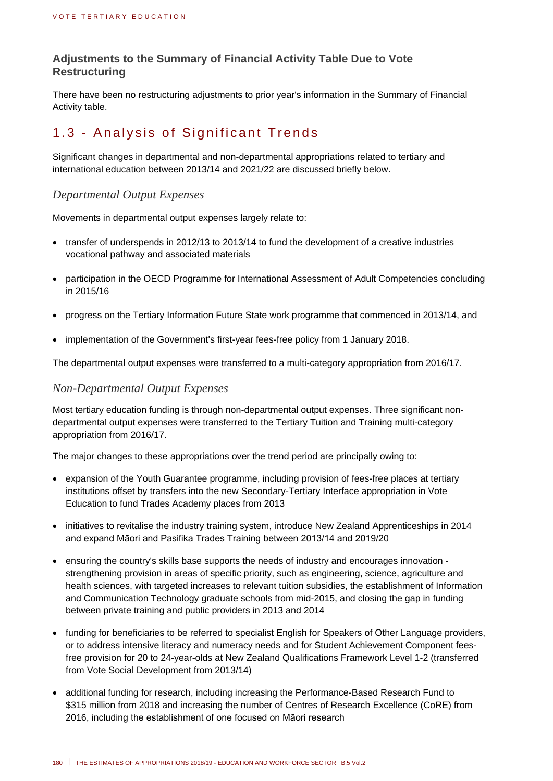#### **Adjustments to the Summary of Financial Activity Table Due to Vote Restructuring**

There have been no restructuring adjustments to prior year's information in the Summary of Financial Activity table.

## 1.3 - Analysis of Significant Trends

Significant changes in departmental and non-departmental appropriations related to tertiary and international education between 2013/14 and 2021/22 are discussed briefly below.

#### *Departmental Output Expenses*

Movements in departmental output expenses largely relate to:

- transfer of underspends in 2012/13 to 2013/14 to fund the development of a creative industries vocational pathway and associated materials
- participation in the OECD Programme for International Assessment of Adult Competencies concluding in 2015/16
- progress on the Tertiary Information Future State work programme that commenced in 2013/14, and
- implementation of the Government's first-year fees-free policy from 1 January 2018.

The departmental output expenses were transferred to a multi-category appropriation from 2016/17.

#### *Non-Departmental Output Expenses*

Most tertiary education funding is through non-departmental output expenses. Three significant nondepartmental output expenses were transferred to the Tertiary Tuition and Training multi-category appropriation from 2016/17.

The major changes to these appropriations over the trend period are principally owing to:

- expansion of the Youth Guarantee programme, including provision of fees-free places at tertiary institutions offset by transfers into the new Secondary-Tertiary Interface appropriation in Vote Education to fund Trades Academy places from 2013
- initiatives to revitalise the industry training system, introduce New Zealand Apprenticeships in 2014 and expand Māori and Pasifika Trades Training between 2013/14 and 2019/20
- ensuring the country's skills base supports the needs of industry and encourages innovation strengthening provision in areas of specific priority, such as engineering, science, agriculture and health sciences, with targeted increases to relevant tuition subsidies, the establishment of Information and Communication Technology graduate schools from mid-2015, and closing the gap in funding between private training and public providers in 2013 and 2014
- funding for beneficiaries to be referred to specialist English for Speakers of Other Language providers, or to address intensive literacy and numeracy needs and for Student Achievement Component feesfree provision for 20 to 24-year-olds at New Zealand Qualifications Framework Level 1-2 (transferred from Vote Social Development from 2013/14)
- additional funding for research, including increasing the Performance-Based Research Fund to \$315 million from 2018 and increasing the number of Centres of Research Excellence (CoRE) from 2016, including the establishment of one focused on Māori research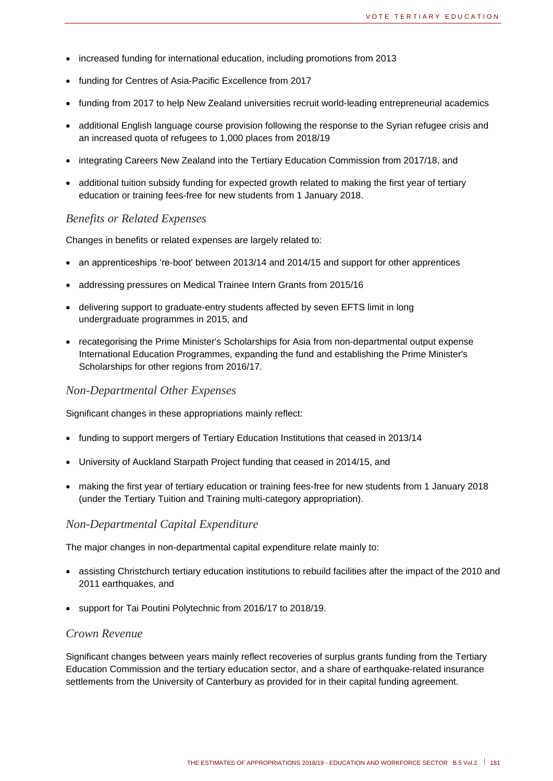- increased funding for international education, including promotions from 2013
- funding for Centres of Asia-Pacific Excellence from 2017
- funding from 2017 to help New Zealand universities recruit world-leading entrepreneurial academics
- additional English language course provision following the response to the Syrian refugee crisis and an increased quota of refugees to 1,000 places from 2018/19
- integrating Careers New Zealand into the Tertiary Education Commission from 2017/18, and
- additional tuition subsidy funding for expected growth related to making the first year of tertiary education or training fees-free for new students from 1 January 2018.

#### *Benefits or Related Expenses*

Changes in benefits or related expenses are largely related to:

- an apprenticeships 're-boot' between 2013/14 and 2014/15 and support for other apprentices
- addressing pressures on Medical Trainee Intern Grants from 2015/16
- delivering support to graduate-entry students affected by seven EFTS limit in long undergraduate programmes in 2015, and
- recategorising the Prime Minister's Scholarships for Asia from non-departmental output expense International Education Programmes, expanding the fund and establishing the Prime Minister's Scholarships for other regions from 2016/17.

#### *Non-Departmental Other Expenses*

Significant changes in these appropriations mainly reflect:

- funding to support mergers of Tertiary Education Institutions that ceased in 2013/14
- University of Auckland Starpath Project funding that ceased in 2014/15, and
- making the first year of tertiary education or training fees-free for new students from 1 January 2018 (under the Tertiary Tuition and Training multi-category appropriation).

#### *Non-Departmental Capital Expenditure*

The major changes in non-departmental capital expenditure relate mainly to:

- assisting Christchurch tertiary education institutions to rebuild facilities after the impact of the 2010 and 2011 earthquakes, and
- support for Tai Poutini Polytechnic from 2016/17 to 2018/19.

#### *Crown Revenue*

Significant changes between years mainly reflect recoveries of surplus grants funding from the Tertiary Education Commission and the tertiary education sector, and a share of earthquake-related insurance settlements from the University of Canterbury as provided for in their capital funding agreement.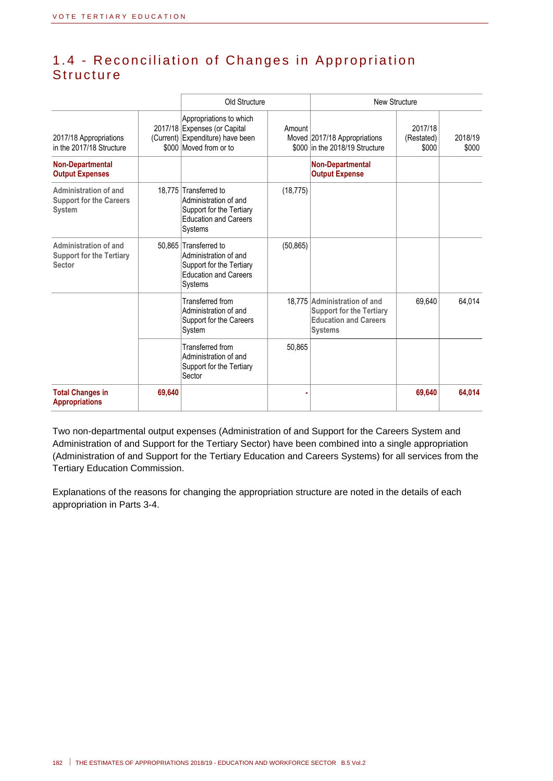## 1.4 - Reconciliation of Changes in Appropriation **Structure**

|                                                                          |        | Old Structure                                                                                                         |           | <b>New Structure</b>                                                                                              |                                |                  |
|--------------------------------------------------------------------------|--------|-----------------------------------------------------------------------------------------------------------------------|-----------|-------------------------------------------------------------------------------------------------------------------|--------------------------------|------------------|
| 2017/18 Appropriations<br>in the 2017/18 Structure                       |        | Appropriations to which<br>2017/18 Expenses (or Capital<br>(Current) Expenditure) have been<br>\$000 Moved from or to | Amount    | Moved 2017/18 Appropriations<br>\$000 in the 2018/19 Structure                                                    | 2017/18<br>(Restated)<br>\$000 | 2018/19<br>\$000 |
| <b>Non-Departmental</b><br><b>Output Expenses</b>                        |        |                                                                                                                       |           | <b>Non-Departmental</b><br><b>Output Expense</b>                                                                  |                                |                  |
| Administration of and<br><b>Support for the Careers</b><br><b>System</b> |        | 18,775 Transferred to<br>Administration of and<br>Support for the Tertiary<br><b>Education and Careers</b><br>Systems | (18, 775) |                                                                                                                   |                                |                  |
| Administration of and<br><b>Support for the Tertiary</b><br>Sector       |        | 50.865 Transferred to<br>Administration of and<br>Support for the Tertiary<br><b>Education and Careers</b><br>Systems | (50, 865) |                                                                                                                   |                                |                  |
|                                                                          |        | Transferred from<br>Administration of and<br>Support for the Careers<br>System                                        |           | 18,775 Administration of and<br><b>Support for the Tertiary</b><br><b>Education and Careers</b><br><b>Systems</b> | 69.640                         | 64,014           |
|                                                                          |        | Transferred from<br>Administration of and<br>Support for the Tertiary<br>Sector                                       | 50,865    |                                                                                                                   |                                |                  |
| <b>Total Changes in</b><br><b>Appropriations</b>                         | 69,640 |                                                                                                                       |           |                                                                                                                   | 69,640                         | 64,014           |

Two non-departmental output expenses (Administration of and Support for the Careers System and Administration of and Support for the Tertiary Sector) have been combined into a single appropriation (Administration of and Support for the Tertiary Education and Careers Systems) for all services from the Tertiary Education Commission.

Explanations of the reasons for changing the appropriation structure are noted in the details of each appropriation in Parts 3-4.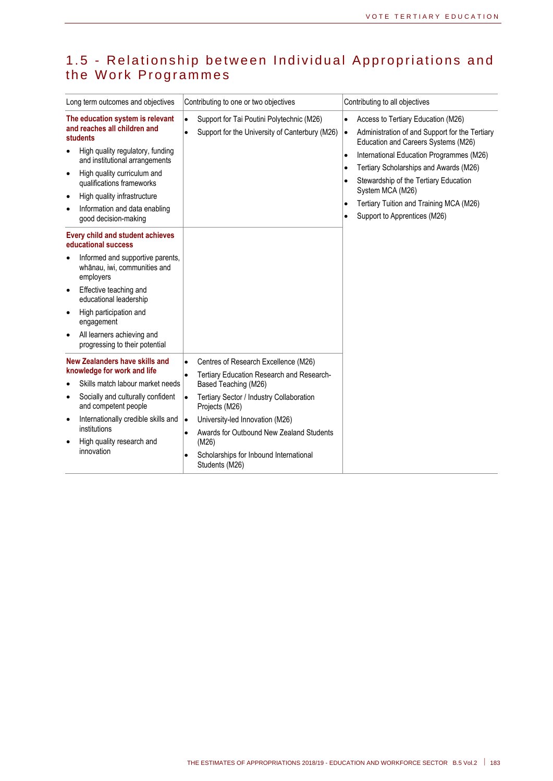### 1.5 - Relationship between Individual Appropriations and the Work Programmes

| Long term outcomes and objectives                                                                                                                                                                                                                                                                                        | Contributing to one or two objectives                                                                                                                                                                                                                                                                                                                                           | Contributing to all objectives                                                                                                                                                                                                                                                                                                                                                                                                                       |
|--------------------------------------------------------------------------------------------------------------------------------------------------------------------------------------------------------------------------------------------------------------------------------------------------------------------------|---------------------------------------------------------------------------------------------------------------------------------------------------------------------------------------------------------------------------------------------------------------------------------------------------------------------------------------------------------------------------------|------------------------------------------------------------------------------------------------------------------------------------------------------------------------------------------------------------------------------------------------------------------------------------------------------------------------------------------------------------------------------------------------------------------------------------------------------|
| The education system is relevant<br>and reaches all children and<br>students<br>High quality regulatory, funding<br>and institutional arrangements<br>High quality curriculum and<br>$\bullet$<br>qualifications frameworks<br>High quality infrastructure<br>٠<br>Information and data enabling<br>good decision-making | Support for Tai Poutini Polytechnic (M26)<br>$\bullet$<br>Support for the University of Canterbury (M26)<br>ò                                                                                                                                                                                                                                                                   | Access to Tertiary Education (M26)<br>$\bullet$<br>Administration of and Support for the Tertiary<br>$\bullet$<br>Education and Careers Systems (M26)<br>International Education Programmes (M26)<br>$\bullet$<br>Tertiary Scholarships and Awards (M26)<br>$\bullet$<br>Stewardship of the Tertiary Education<br>$\bullet$<br>System MCA (M26)<br>Tertiary Tuition and Training MCA (M26)<br>$\bullet$<br>Support to Apprentices (M26)<br>$\bullet$ |
| Every child and student achieves<br>educational success<br>Informed and supportive parents,<br>whānau, iwi, communities and<br>employers<br>Effective teaching and<br>educational leadership<br>High participation and<br>٠<br>engagement<br>All learners achieving and<br>$\bullet$<br>progressing to their potential   |                                                                                                                                                                                                                                                                                                                                                                                 |                                                                                                                                                                                                                                                                                                                                                                                                                                                      |
| New Zealanders have skills and<br>knowledge for work and life<br>Skills match labour market needs<br>Socially and culturally confident<br>٠<br>and competent people<br>Internationally credible skills and<br>٠<br>institutions<br>High quality research and<br>innovation                                               | Centres of Research Excellence (M26)<br>$\bullet$<br>Tertiary Education Research and Research-<br>$\bullet$<br>Based Teaching (M26)<br>Tertiary Sector / Industry Collaboration<br>$\bullet$<br>Projects (M26)<br>University-led Innovation (M26)<br>$\bullet$<br>Awards for Outbound New Zealand Students<br>(M26)<br>Scholarships for Inbound International<br>Students (M26) |                                                                                                                                                                                                                                                                                                                                                                                                                                                      |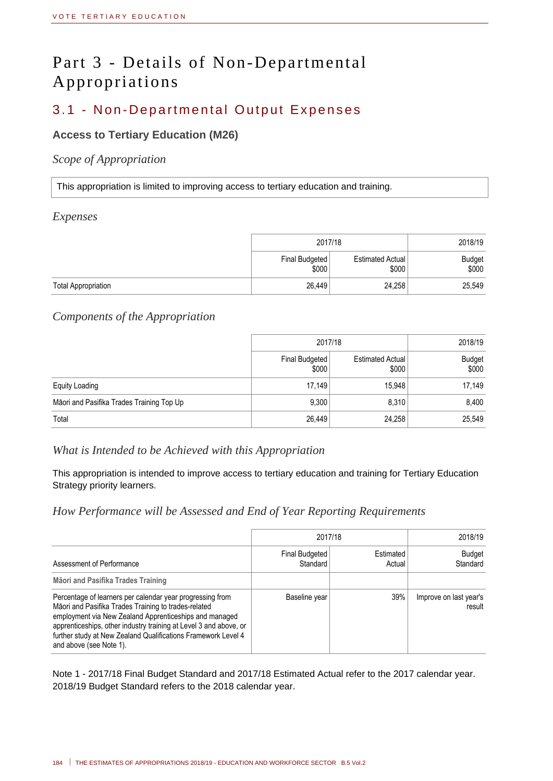## Part 3 - Details of Non-Departmental Appropriations

## 3.1 - Non-Departmental Output Expenses

#### **Access to Tertiary Education (M26)**

#### *Scope of Appropriation*

This appropriation is limited to improving access to tertiary education and training.

#### *Expenses*

|                            | 2017/18                 | 2018/19                   |                        |
|----------------------------|-------------------------|---------------------------|------------------------|
|                            | Final Budgeted<br>\$000 | Estimated Actual<br>\$000 | <b>Budget</b><br>\$000 |
| <b>Total Appropriation</b> | 26.449                  | 24,258                    | 25,549                 |

#### *Components of the Appropriation*

|                                           | 2017/18                 | 2018/19                          |                        |
|-------------------------------------------|-------------------------|----------------------------------|------------------------|
|                                           | Final Budgeted<br>\$000 | <b>Estimated Actual</b><br>\$000 | <b>Budget</b><br>\$000 |
| <b>Equity Loading</b>                     | 17,149                  | 15,948                           | 17,149                 |
| Māori and Pasifika Trades Training Top Up | 9,300                   | 8,310                            | 8,400                  |
| Total                                     | 26,449                  | 24,258                           | 25,549                 |

#### *What is Intended to be Achieved with this Appropriation*

This appropriation is intended to improve access to tertiary education and training for Tertiary Education Strategy priority learners.

#### *How Performance will be Assessed and End of Year Reporting Requirements*

|                                                                                                                                                                                                                                                                                                                                              | 2017/18                    | 2018/19             |                                  |
|----------------------------------------------------------------------------------------------------------------------------------------------------------------------------------------------------------------------------------------------------------------------------------------------------------------------------------------------|----------------------------|---------------------|----------------------------------|
| Assessment of Performance                                                                                                                                                                                                                                                                                                                    | Final Budgeted<br>Standard | Estimated<br>Actual | <b>Budget</b><br>Standard        |
| Māori and Pasifika Trades Training                                                                                                                                                                                                                                                                                                           |                            |                     |                                  |
| Percentage of learners per calendar year progressing from<br>Māori and Pasifika Trades Training to trades-related<br>employment via New Zealand Apprenticeships and managed<br>apprenticeships, other industry training at Level 3 and above, or<br>further study at New Zealand Qualifications Framework Level 4<br>and above (see Note 1). | Baseline year              | 39%                 | Improve on last year's<br>result |

Note 1 - 2017/18 Final Budget Standard and 2017/18 Estimated Actual refer to the 2017 calendar year. 2018/19 Budget Standard refers to the 2018 calendar year.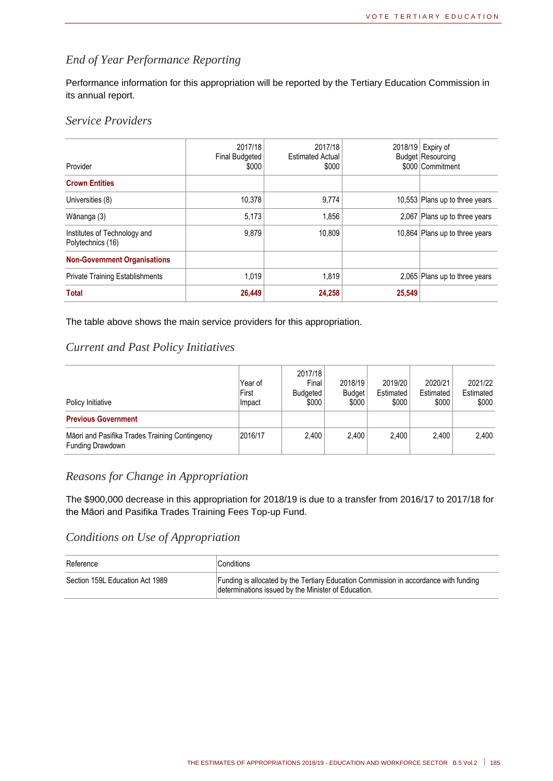#### *End of Year Performance Reporting*

Performance information for this appropriation will be reported by the Tertiary Education Commission in its annual report.

#### *Service Providers*

| Provider                                          | 2017/18<br><b>Final Budgeted</b><br>\$000 | 2017/18<br><b>Estimated Actual</b><br>\$000 |        | 2018/19 Expiry of<br><b>Budget Resourcing</b><br>\$000 Commitment |
|---------------------------------------------------|-------------------------------------------|---------------------------------------------|--------|-------------------------------------------------------------------|
| <b>Crown Entities</b>                             |                                           |                                             |        |                                                                   |
| Universities (8)                                  | 10,378                                    | 9,774                                       |        | 10,553 Plans up to three years                                    |
| Wānanga (3)                                       | 5,173                                     | 1,856                                       |        | 2,067 Plans up to three years                                     |
| Institutes of Technology and<br>Polytechnics (16) | 9,879                                     | 10,809                                      |        | 10,864 Plans up to three years                                    |
| <b>Non-Government Organisations</b>               |                                           |                                             |        |                                                                   |
| <b>Private Training Establishments</b>            | 1,019                                     | 1,819                                       |        | 2,065 Plans up to three years                                     |
| <b>Total</b>                                      | 26,449                                    | 24,258                                      | 25,549 |                                                                   |

The table above shows the main service providers for this appropriation.

#### *Current and Past Policy Initiatives*

| Policy Initiative                                                  | Year of<br>First<br>Impact | 2017/18<br>Final<br>Budgeted<br>\$000 | 2018/19<br><b>Budget</b><br>\$000 | 2019/20<br>Estimated<br>\$000 | 2020/21<br>Estimated<br>\$000 | 2021/22<br>Estimated<br>\$000 |
|--------------------------------------------------------------------|----------------------------|---------------------------------------|-----------------------------------|-------------------------------|-------------------------------|-------------------------------|
| <b>Previous Government</b>                                         |                            |                                       |                                   |                               |                               |                               |
| Māori and Pasifika Trades Training Contingency<br>Funding Drawdown | 2016/17                    | 2.400                                 | 2.400                             | 2.400                         | 2.400                         | 2.400                         |

#### *Reasons for Change in Appropriation*

The \$900,000 decrease in this appropriation for 2018/19 is due to a transfer from 2016/17 to 2017/18 for the Māori and Pasifika Trades Training Fees Top-up Fund.

#### *Conditions on Use of Appropriation*

| Reference                       | Conditions                                                                                                                                  |
|---------------------------------|---------------------------------------------------------------------------------------------------------------------------------------------|
| Section 159L Education Act 1989 | Funding is allocated by the Tertiary Education Commission in accordance with funding<br>determinations issued by the Minister of Education. |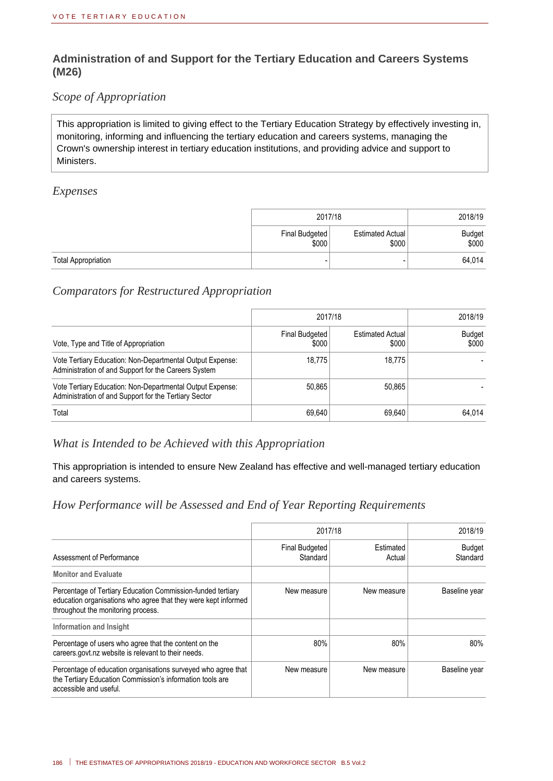#### **Administration of and Support for the Tertiary Education and Careers Systems (M26)**

#### *Scope of Appropriation*

This appropriation is limited to giving effect to the Tertiary Education Strategy by effectively investing in, monitoring, informing and influencing the tertiary education and careers systems, managing the Crown's ownership interest in tertiary education institutions, and providing advice and support to Ministers.

#### *Expenses*

|                            | 2017/18                 | 2018/19                   |                 |
|----------------------------|-------------------------|---------------------------|-----------------|
|                            | Final Budgeted<br>\$000 | Estimated Actual<br>\$000 | Budget<br>\$000 |
| <b>Total Appropriation</b> |                         |                           | 64,014          |

#### *Comparators for Restructured Appropriation*

|                                                                                                                    | 2017/18                 | 2018/19                          |                        |
|--------------------------------------------------------------------------------------------------------------------|-------------------------|----------------------------------|------------------------|
| Vote, Type and Title of Appropriation                                                                              | Final Budgeted<br>\$000 | <b>Estimated Actual</b><br>\$000 | <b>Budget</b><br>\$000 |
| Vote Tertiary Education: Non-Departmental Output Expense:<br>Administration of and Support for the Careers System  | 18.775                  | 18.775                           |                        |
| Vote Tertiary Education: Non-Departmental Output Expense:<br>Administration of and Support for the Tertiary Sector | 50,865                  | 50,865                           |                        |
| Total                                                                                                              | 69.640                  | 69.640                           | 64.014                 |

#### *What is Intended to be Achieved with this Appropriation*

This appropriation is intended to ensure New Zealand has effective and well-managed tertiary education and careers systems.

#### *How Performance will be Assessed and End of Year Reporting Requirements*

|                                                                                                                                                                     | 2017/18                    | 2018/19             |                           |
|---------------------------------------------------------------------------------------------------------------------------------------------------------------------|----------------------------|---------------------|---------------------------|
| Assessment of Performance                                                                                                                                           | Final Budgeted<br>Standard | Estimated<br>Actual | <b>Budget</b><br>Standard |
| <b>Monitor and Evaluate</b>                                                                                                                                         |                            |                     |                           |
| Percentage of Tertiary Education Commission-funded tertiary<br>education organisations who agree that they were kept informed<br>throughout the monitoring process. | New measure                | New measure         | Baseline year             |
| Information and Insight                                                                                                                                             |                            |                     |                           |
| Percentage of users who agree that the content on the<br>careers.govt.nz website is relevant to their needs.                                                        | 80%                        | 80%                 | 80%                       |
| Percentage of education organisations surveyed who agree that<br>the Tertiary Education Commission's information tools are<br>accessible and useful.                | New measure                | New measure         | Baseline year             |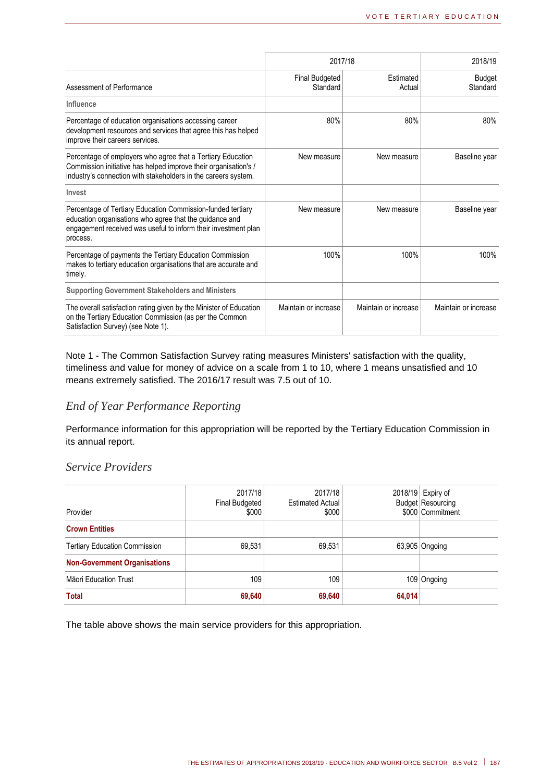|                                                                                                                                                                                                      |                            | 2017/18              |                           |  |
|------------------------------------------------------------------------------------------------------------------------------------------------------------------------------------------------------|----------------------------|----------------------|---------------------------|--|
| Assessment of Performance                                                                                                                                                                            | Final Budgeted<br>Standard | Estimated<br>Actual  | <b>Budget</b><br>Standard |  |
| Influence                                                                                                                                                                                            |                            |                      |                           |  |
| Percentage of education organisations accessing career<br>development resources and services that agree this has helped<br>improve their careers services.                                           | 80%                        | 80%                  | 80%                       |  |
| Percentage of employers who agree that a Tertiary Education<br>Commission initiative has helped improve their organisation's /<br>industry's connection with stakeholders in the careers system.     | New measure                | New measure          | Baseline year             |  |
| Invest                                                                                                                                                                                               |                            |                      |                           |  |
| Percentage of Tertiary Education Commission-funded tertiary<br>education organisations who agree that the guidance and<br>engagement received was useful to inform their investment plan<br>process. | New measure                | New measure          | Baseline year             |  |
| Percentage of payments the Tertiary Education Commission<br>makes to tertiary education organisations that are accurate and<br>timely.                                                               | 100%                       | 100%                 | 100%                      |  |
| <b>Supporting Government Stakeholders and Ministers</b>                                                                                                                                              |                            |                      |                           |  |
| The overall satisfaction rating given by the Minister of Education<br>on the Tertiary Education Commission (as per the Common<br>Satisfaction Survey) (see Note 1).                                  | Maintain or increase       | Maintain or increase | Maintain or increase      |  |

Note 1 - The Common Satisfaction Survey rating measures Ministers' satisfaction with the quality, timeliness and value for money of advice on a scale from 1 to 10, where 1 means unsatisfied and 10 means extremely satisfied. The 2016/17 result was 7.5 out of 10.

#### *End of Year Performance Reporting*

Performance information for this appropriation will be reported by the Tertiary Education Commission in its annual report.

#### *Service Providers*

| Provider                             | 2017/18<br>Final Budgeted<br>\$000 | 2017/18<br>Estimated Actual<br>\$000 |        | 2018/19 Expiry of<br><b>Budget Resourcing</b><br>\$000 Commitment |
|--------------------------------------|------------------------------------|--------------------------------------|--------|-------------------------------------------------------------------|
| <b>Crown Entities</b>                |                                    |                                      |        |                                                                   |
| <b>Tertiary Education Commission</b> | 69,531                             | 69,531                               |        | 63,905 Ongoing                                                    |
| <b>Non-Government Organisations</b>  |                                    |                                      |        |                                                                   |
| <b>Māori Education Trust</b>         | 109                                | 109                                  |        | 109 Ongoing                                                       |
| Total                                | 69,640                             | 69,640                               | 64,014 |                                                                   |

The table above shows the main service providers for this appropriation.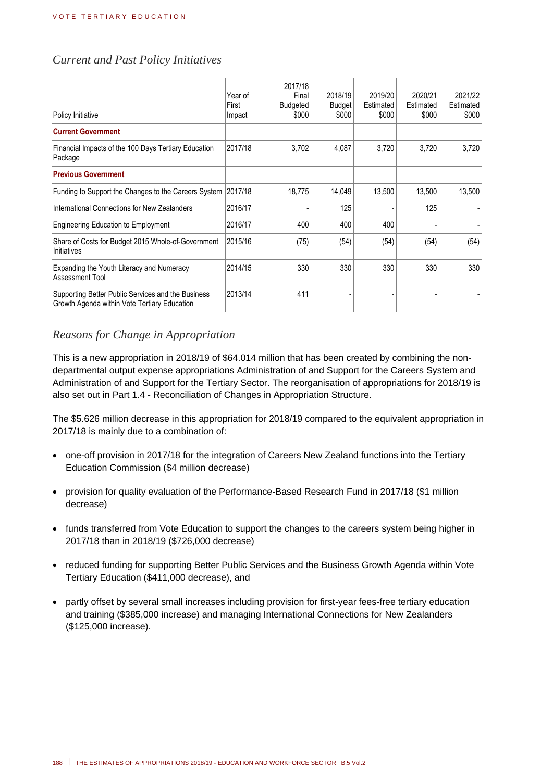#### *Current and Past Policy Initiatives*

| Policy Initiative                                                                                  | Year of<br>First<br>Impact | 2017/18<br>Final<br><b>Budgeted</b><br>\$000 | 2018/19<br><b>Budget</b><br>\$000 | 2019/20<br>Estimated<br>\$000 | 2020/21<br>Estimated<br>\$000 | 2021/22<br>Estimated<br>\$000 |
|----------------------------------------------------------------------------------------------------|----------------------------|----------------------------------------------|-----------------------------------|-------------------------------|-------------------------------|-------------------------------|
| <b>Current Government</b>                                                                          |                            |                                              |                                   |                               |                               |                               |
| Financial Impacts of the 100 Days Tertiary Education<br>Package                                    | 2017/18                    | 3.702                                        | 4,087                             | 3.720                         | 3.720                         | 3.720                         |
| <b>Previous Government</b>                                                                         |                            |                                              |                                   |                               |                               |                               |
| Funding to Support the Changes to the Careers System                                               | 2017/18                    | 18,775                                       | 14,049                            | 13,500                        | 13,500                        | 13,500                        |
| International Connections for New Zealanders                                                       | 2016/17                    |                                              | 125                               |                               | 125                           |                               |
| <b>Engineering Education to Employment</b>                                                         | 2016/17                    | 400                                          | 400                               | 400                           |                               |                               |
| Share of Costs for Budget 2015 Whole-of-Government<br>Initiatives                                  | 2015/16                    | (75)                                         | (54)                              | (54)                          | (54)                          | (54)                          |
| Expanding the Youth Literacy and Numeracy<br>Assessment Tool                                       | 2014/15                    | 330                                          | 330                               | 330                           | 330                           | 330                           |
| Supporting Better Public Services and the Business<br>Growth Agenda within Vote Tertiary Education | 2013/14                    | 411                                          |                                   |                               |                               |                               |

#### *Reasons for Change in Appropriation*

This is a new appropriation in 2018/19 of \$64.014 million that has been created by combining the nondepartmental output expense appropriations Administration of and Support for the Careers System and Administration of and Support for the Tertiary Sector. The reorganisation of appropriations for 2018/19 is also set out in Part 1.4 - Reconciliation of Changes in Appropriation Structure.

The \$5.626 million decrease in this appropriation for 2018/19 compared to the equivalent appropriation in 2017/18 is mainly due to a combination of:

- one-off provision in 2017/18 for the integration of Careers New Zealand functions into the Tertiary Education Commission (\$4 million decrease)
- provision for quality evaluation of the Performance-Based Research Fund in 2017/18 (\$1 million decrease)
- funds transferred from Vote Education to support the changes to the careers system being higher in 2017/18 than in 2018/19 (\$726,000 decrease)
- reduced funding for supporting Better Public Services and the Business Growth Agenda within Vote Tertiary Education (\$411,000 decrease), and
- partly offset by several small increases including provision for first-year fees-free tertiary education and training (\$385,000 increase) and managing International Connections for New Zealanders (\$125,000 increase).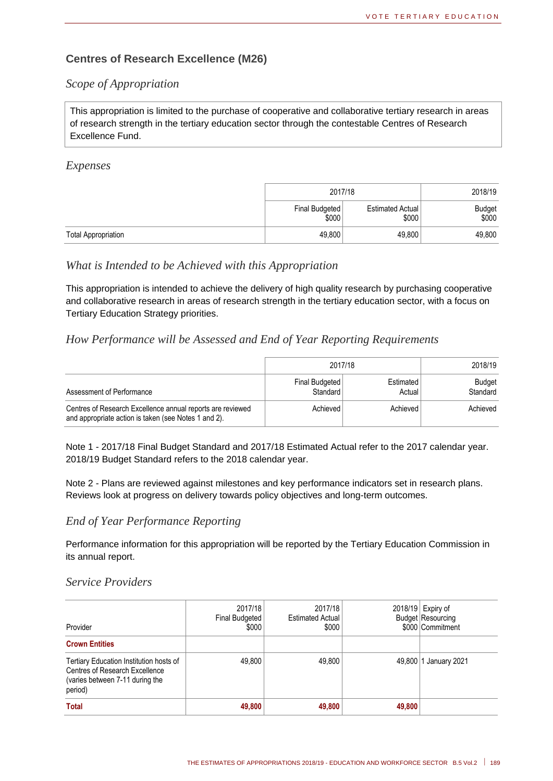#### **Centres of Research Excellence (M26)**

#### *Scope of Appropriation*

This appropriation is limited to the purchase of cooperative and collaborative tertiary research in areas of research strength in the tertiary education sector through the contestable Centres of Research Excellence Fund.

#### *Expenses*

|                            | 2017/18                 | 2018/19                          |                 |
|----------------------------|-------------------------|----------------------------------|-----------------|
|                            | Final Budgeted<br>\$000 | <b>Estimated Actual</b><br>\$000 | Budget<br>\$000 |
| <b>Total Appropriation</b> | 49,800                  | 49,800                           | 49,800          |

#### *What is Intended to be Achieved with this Appropriation*

This appropriation is intended to achieve the delivery of high quality research by purchasing cooperative and collaborative research in areas of research strength in the tertiary education sector, with a focus on Tertiary Education Strategy priorities.

#### *How Performance will be Assessed and End of Year Reporting Requirements*

|                                                                                                                    | 2017/18                    | 2018/19             |                    |
|--------------------------------------------------------------------------------------------------------------------|----------------------------|---------------------|--------------------|
| Assessment of Performance                                                                                          | Final Budgeted<br>Standard | Estimated<br>Actual | Budget<br>Standard |
| Centres of Research Excellence annual reports are reviewed<br>and appropriate action is taken (see Notes 1 and 2). | Achieved                   | Achieved            | Achieved           |

Note 1 - 2017/18 Final Budget Standard and 2017/18 Estimated Actual refer to the 2017 calendar year. 2018/19 Budget Standard refers to the 2018 calendar year.

Note 2 - Plans are reviewed against milestones and key performance indicators set in research plans. Reviews look at progress on delivery towards policy objectives and long-term outcomes.

#### *End of Year Performance Reporting*

Performance information for this appropriation will be reported by the Tertiary Education Commission in its annual report.

#### *Service Providers*

| Provider                                                                                                                | 2017/18<br>Final Budgeted<br>\$000 | 2017/18<br><b>Estimated Actual</b><br>\$000 |        | 2018/19 Expiry of<br><b>Budget Resourcing</b><br>\$000 Commitment |
|-------------------------------------------------------------------------------------------------------------------------|------------------------------------|---------------------------------------------|--------|-------------------------------------------------------------------|
| <b>Crown Entities</b>                                                                                                   |                                    |                                             |        |                                                                   |
| Tertiary Education Institution hosts of<br>Centres of Research Excellence<br>(varies between 7-11 during the<br>period) | 49,800                             | 49,800                                      |        | 49,800 1 January 2021                                             |
| <b>Total</b>                                                                                                            | 49,800                             | 49,800                                      | 49,800 |                                                                   |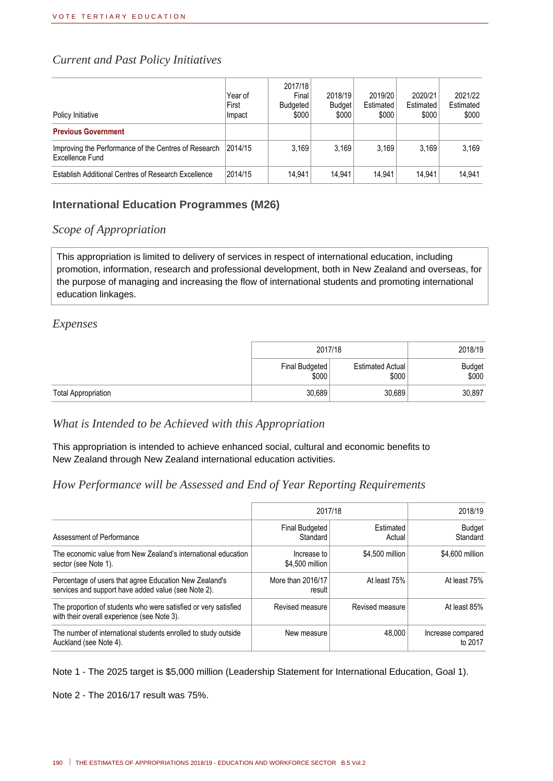#### *Current and Past Policy Initiatives*

| Policy Initiative                                                       | Year of<br>First<br>Impact | 2017/18<br>Final<br>Budgeted<br>\$000 | 2018/19<br><b>Budget</b><br>\$000 | 2019/20<br>Estimated<br>\$000 | 2020/21<br>Estimated<br>\$000 | 2021/22<br>Estimated<br>\$000 |
|-------------------------------------------------------------------------|----------------------------|---------------------------------------|-----------------------------------|-------------------------------|-------------------------------|-------------------------------|
| <b>Previous Government</b>                                              |                            |                                       |                                   |                               |                               |                               |
| Improving the Performance of the Centres of Research<br>Excellence Fund | 2014/15                    | 3.169                                 | 3.169                             | 3.169                         | 3.169                         | 3.169                         |
| Establish Additional Centres of Research Excellence                     | 2014/15                    | 14.941                                | 14.941                            | 14.941                        | 14.941                        | 14.941                        |

#### **International Education Programmes (M26)**

#### *Scope of Appropriation*

This appropriation is limited to delivery of services in respect of international education, including promotion, information, research and professional development, both in New Zealand and overseas, for the purpose of managing and increasing the flow of international students and promoting international education linkages.

#### *Expenses*

|                            | 2017/18                 | 2018/19                   |                 |
|----------------------------|-------------------------|---------------------------|-----------------|
|                            | Final Budgeted<br>\$000 | Estimated Actual<br>\$000 | Budget<br>\$000 |
| <b>Total Appropriation</b> | 30,689                  | 30,689                    | 30,897          |

*What is Intended to be Achieved with this Appropriation*

This appropriation is intended to achieve enhanced social, cultural and economic benefits to New Zealand through New Zealand international education activities.

#### *How Performance will be Assessed and End of Year Reporting Requirements*

|                                                                                                                | 2017/18                        | 2018/19             |                              |
|----------------------------------------------------------------------------------------------------------------|--------------------------------|---------------------|------------------------------|
| Assessment of Performance                                                                                      | Final Budgeted<br>Standard     | Estimated<br>Actual | <b>Budget</b><br>Standard    |
| The economic value from New Zealand's international education<br>sector (see Note 1).                          | Increase to<br>\$4,500 million | \$4,500 million     | \$4,600 million              |
| Percentage of users that agree Education New Zealand's<br>services and support have added value (see Note 2).  | More than 2016/17<br>result    | At least 75%        | At least 75%                 |
| The proportion of students who were satisfied or very satisfied<br>with their overall experience (see Note 3). | Revised measure                | Revised measure     | At least 85%                 |
| The number of international students enrolled to study outside<br>Auckland (see Note 4).                       | New measure                    | 48.000              | Increase compared<br>to 2017 |

Note 1 - The 2025 target is \$5,000 million (Leadership Statement for International Education, Goal 1).

Note 2 - The 2016/17 result was 75%.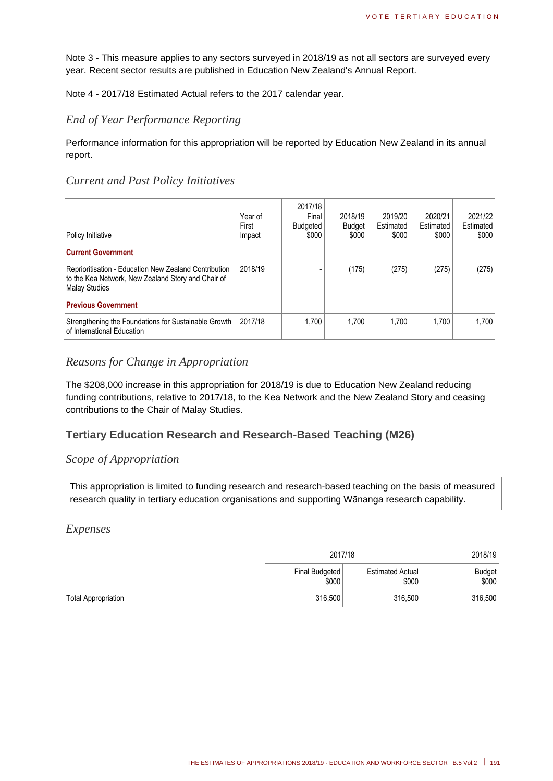Note 3 - This measure applies to any sectors surveyed in 2018/19 as not all sectors are surveyed every year. Recent sector results are published in Education New Zealand's Annual Report.

Note 4 - 2017/18 Estimated Actual refers to the 2017 calendar year.

#### *End of Year Performance Reporting*

Performance information for this appropriation will be reported by Education New Zealand in its annual report.

#### *Current and Past Policy Initiatives*

| Policy Initiative                                                                                                                          | Year of<br>First<br>Impact | 2017/18<br>Final<br>Budgeted<br>\$000 | 2018/19<br><b>Budget</b><br>\$000 | 2019/20<br>Estimated<br>\$000 | 2020/21<br>Estimated<br>\$000 | 2021/22<br>Estimated<br>\$000 |
|--------------------------------------------------------------------------------------------------------------------------------------------|----------------------------|---------------------------------------|-----------------------------------|-------------------------------|-------------------------------|-------------------------------|
| <b>Current Government</b>                                                                                                                  |                            |                                       |                                   |                               |                               |                               |
| <b>Reprioritisation - Education New Zealand Contribution</b><br>to the Kea Network, New Zealand Story and Chair of<br><b>Malay Studies</b> | 2018/19                    |                                       | (175)                             | (275)                         | (275)                         | (275)                         |
| <b>Previous Government</b>                                                                                                                 |                            |                                       |                                   |                               |                               |                               |
| Strengthening the Foundations for Sustainable Growth<br>of International Education                                                         | 2017/18                    | 1.700                                 | 1.700                             | 1.700                         | 1.700                         | 1.700                         |

#### *Reasons for Change in Appropriation*

The \$208,000 increase in this appropriation for 2018/19 is due to Education New Zealand reducing funding contributions, relative to 2017/18, to the Kea Network and the New Zealand Story and ceasing contributions to the Chair of Malay Studies.

#### **Tertiary Education Research and Research-Based Teaching (M26)**

#### *Scope of Appropriation*

This appropriation is limited to funding research and research-based teaching on the basis of measured research quality in tertiary education organisations and supporting Wānanga research capability.

#### *Expenses*

|                            | 2017/18                 | 2018/19                   |                 |
|----------------------------|-------------------------|---------------------------|-----------------|
|                            | Final Budgeted<br>\$000 | Estimated Actual<br>\$000 | Budget<br>\$000 |
| <b>Total Appropriation</b> | 316,500                 | 316.500<br>316,500        |                 |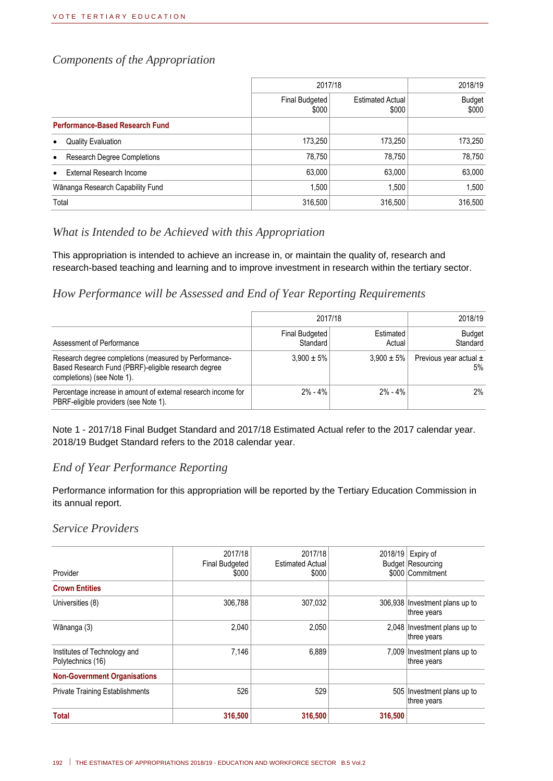#### *Components of the Appropriation*

|                                                 | 2017/18                 |                                  | 2018/19                |
|-------------------------------------------------|-------------------------|----------------------------------|------------------------|
|                                                 | Final Budgeted<br>\$000 | <b>Estimated Actual</b><br>\$000 | <b>Budget</b><br>\$000 |
| <b>Performance-Based Research Fund</b>          |                         |                                  |                        |
| <b>Quality Evaluation</b><br>$\bullet$          | 173,250                 | 173,250                          | 173,250                |
| <b>Research Degree Completions</b><br>$\bullet$ | 78,750                  | 78,750                           | 78,750                 |
| External Research Income<br>$\bullet$           | 63,000                  | 63,000                           | 63,000                 |
| Wānanga Research Capability Fund                | 1,500                   | 1.500                            | 1.500                  |
| Total                                           | 316,500                 | 316,500                          | 316.500                |

#### *What is Intended to be Achieved with this Appropriation*

This appropriation is intended to achieve an increase in, or maintain the quality of, research and research-based teaching and learning and to improve investment in research within the tertiary sector.

#### *How Performance will be Assessed and End of Year Reporting Requirements*

|                                                                                                                                            | 2017/18                    | 2018/19             |                                     |
|--------------------------------------------------------------------------------------------------------------------------------------------|----------------------------|---------------------|-------------------------------------|
| Assessment of Performance                                                                                                                  | Final Budgeted<br>Standard | Estimated<br>Actual | <b>Budget</b><br>Standard           |
| Research degree completions (measured by Performance-<br>Based Research Fund (PBRF)-eligible research degree<br>completions) (see Note 1). | $3.900 \pm 5\%$            | $3.900 \pm 5\%$     | Previous year actual $\pm$<br>$5\%$ |
| Percentage increase in amount of external research income for<br>PBRF-eligible providers (see Note 1).                                     | $2\% - 4\%$                | $2\% - 4\%$         | $2\%$                               |

Note 1 - 2017/18 Final Budget Standard and 2017/18 Estimated Actual refer to the 2017 calendar year. 2018/19 Budget Standard refers to the 2018 calendar year.

#### *End of Year Performance Reporting*

Performance information for this appropriation will be reported by the Tertiary Education Commission in its annual report.

#### *Service Providers*

| Provider                                          | 2017/18<br><b>Final Budgeted</b><br>\$000 | 2017/18<br><b>Estimated Actual</b><br>\$000 | 2018/19 | Expiry of<br><b>Budget Resourcing</b><br>\$000 Commitment |
|---------------------------------------------------|-------------------------------------------|---------------------------------------------|---------|-----------------------------------------------------------|
| <b>Crown Entities</b>                             |                                           |                                             |         |                                                           |
| Universities (8)                                  | 306,788                                   | 307,032                                     |         | 306,938 Investment plans up to<br>three years             |
| Wānanga (3)                                       | 2.040                                     | 2.050                                       |         | 2,048 Investment plans up to<br>three years               |
| Institutes of Technology and<br>Polytechnics (16) | 7,146                                     | 6.889                                       |         | 7,009 Investment plans up to<br>three years               |
| <b>Non-Government Organisations</b>               |                                           |                                             |         |                                                           |
| <b>Private Training Establishments</b>            | 526                                       | 529                                         |         | 505 Investment plans up to<br>three years                 |
| <b>Total</b>                                      | 316,500                                   | 316,500                                     | 316,500 |                                                           |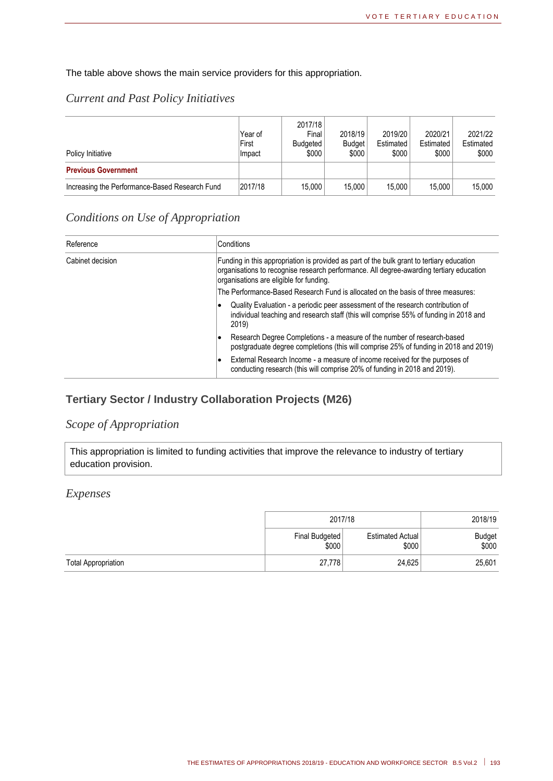The table above shows the main service providers for this appropriation.

#### *Current and Past Policy Initiatives*

| Policy Initiative                              | Year of<br>First<br>Impact | 2017/18<br>Final<br>Budgeted<br>\$000 | 2018/19<br><b>Budget</b><br>\$000 | 2019/20<br>Estimated<br>\$000 | 2020/21<br>Estimated<br>\$000 | 2021/22<br>Estimated<br>\$000 |
|------------------------------------------------|----------------------------|---------------------------------------|-----------------------------------|-------------------------------|-------------------------------|-------------------------------|
| <b>Previous Government</b>                     |                            |                                       |                                   |                               |                               |                               |
| Increasing the Performance-Based Research Fund | 2017/18                    | 15,000                                | 15.000                            | 15.000                        | 15.000                        | 15.000                        |

#### *Conditions on Use of Appropriation*

| Reference        | Conditions                                                                                                                                                                                                                      |
|------------------|---------------------------------------------------------------------------------------------------------------------------------------------------------------------------------------------------------------------------------|
| Cabinet decision | Funding in this appropriation is provided as part of the bulk grant to tertiary education<br>organisations to recognise research performance. All degree-awarding tertiary education<br>organisations are eligible for funding. |
|                  | The Performance-Based Research Fund is allocated on the basis of three measures:                                                                                                                                                |
|                  | Quality Evaluation - a periodic peer assessment of the research contribution of<br>individual teaching and research staff (this will comprise 55% of funding in 2018 and<br>2019)                                               |
|                  | Research Degree Completions - a measure of the number of research-based<br>postgraduate degree completions (this will comprise 25% of funding in 2018 and 2019)                                                                 |
|                  | External Research Income - a measure of income received for the purposes of<br>conducting research (this will comprise 20% of funding in 2018 and 2019).                                                                        |

#### **Tertiary Sector / Industry Collaboration Projects (M26)**

#### *Scope of Appropriation*

This appropriation is limited to funding activities that improve the relevance to industry of tertiary education provision.

#### *Expenses*

|                            | 2017/18                 | 2018/19                   |                        |
|----------------------------|-------------------------|---------------------------|------------------------|
|                            | Final Budgeted<br>\$000 | Estimated Actual<br>\$000 | <b>Budget</b><br>\$000 |
| <b>Total Appropriation</b> | 27,778                  | 24,625                    | 25,601                 |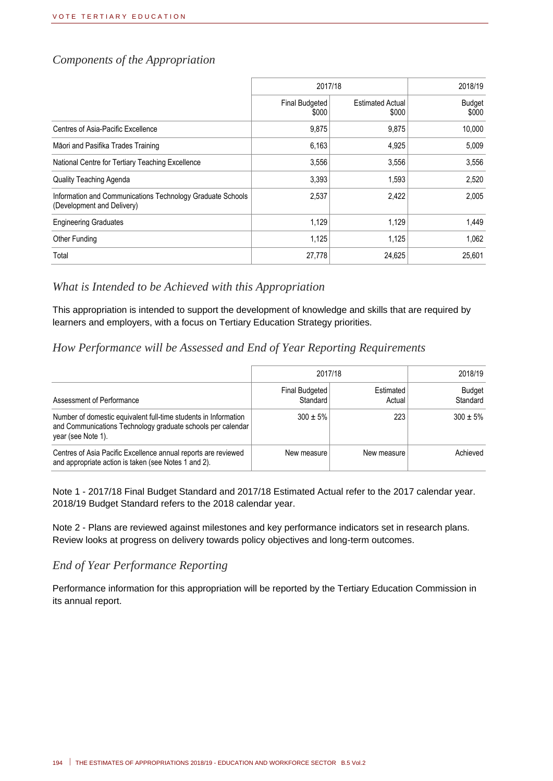#### *Components of the Appropriation*

|                                                                                          | 2017/18                        | 2018/19                          |                        |
|------------------------------------------------------------------------------------------|--------------------------------|----------------------------------|------------------------|
|                                                                                          | <b>Final Budgeted</b><br>\$000 | <b>Estimated Actual</b><br>\$000 | <b>Budget</b><br>\$000 |
| Centres of Asia-Pacific Excellence                                                       | 9,875                          | 9,875                            | 10,000                 |
| Māori and Pasifika Trades Training                                                       | 6,163                          | 4,925                            | 5,009                  |
| National Centre for Tertiary Teaching Excellence                                         | 3,556                          | 3,556                            | 3,556                  |
| Quality Teaching Agenda                                                                  | 3,393                          | 1,593                            | 2,520                  |
| Information and Communications Technology Graduate Schools<br>(Development and Delivery) | 2,537                          | 2,422                            | 2,005                  |
| <b>Engineering Graduates</b>                                                             | 1,129                          | 1,129                            | 1.449                  |
| <b>Other Funding</b>                                                                     | 1,125                          | 1,125                            | 1,062                  |
| Total                                                                                    | 27,778                         | 24,625                           | 25,601                 |

#### *What is Intended to be Achieved with this Appropriation*

This appropriation is intended to support the development of knowledge and skills that are required by learners and employers, with a focus on Tertiary Education Strategy priorities.

#### *How Performance will be Assessed and End of Year Reporting Requirements*

|                                                                                                                                                      | 2017/18                    | 2018/19             |                           |
|------------------------------------------------------------------------------------------------------------------------------------------------------|----------------------------|---------------------|---------------------------|
| Assessment of Performance                                                                                                                            | Final Budgeted<br>Standard | Estimated<br>Actual | <b>Budget</b><br>Standard |
| Number of domestic equivalent full-time students in Information<br>and Communications Technology graduate schools per calendar<br>year (see Note 1). | $300 \pm 5\%$              | 223                 | $300 \pm 5\%$             |
| Centres of Asia Pacific Excellence annual reports are reviewed<br>and appropriate action is taken (see Notes 1 and 2).                               | New measure                | New measure         | Achieved                  |

Note 1 - 2017/18 Final Budget Standard and 2017/18 Estimated Actual refer to the 2017 calendar year. 2018/19 Budget Standard refers to the 2018 calendar year.

Note 2 - Plans are reviewed against milestones and key performance indicators set in research plans. Review looks at progress on delivery towards policy objectives and long-term outcomes.

#### *End of Year Performance Reporting*

Performance information for this appropriation will be reported by the Tertiary Education Commission in its annual report.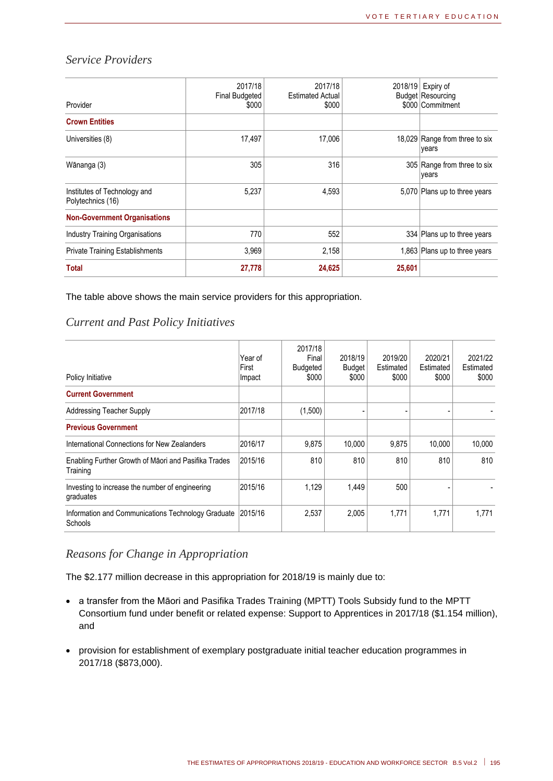#### *Service Providers*

| Provider                                          | 2017/18<br><b>Final Budgeted</b><br>\$000 | 2017/18<br><b>Estimated Actual</b><br>\$000 |        | 2018/19 Expiry of<br><b>Budget Resourcing</b><br>\$000 Commitment |
|---------------------------------------------------|-------------------------------------------|---------------------------------------------|--------|-------------------------------------------------------------------|
| <b>Crown Entities</b>                             |                                           |                                             |        |                                                                   |
| Universities (8)                                  | 17,497                                    | 17,006                                      |        | 18,029 Range from three to six<br>years                           |
| Wānanga (3)                                       | 305                                       | 316                                         |        | 305 Range from three to six<br>years                              |
| Institutes of Technology and<br>Polytechnics (16) | 5,237                                     | 4,593                                       |        | 5,070 Plans up to three years                                     |
| <b>Non-Government Organisations</b>               |                                           |                                             |        |                                                                   |
| <b>Industry Training Organisations</b>            | 770                                       | 552                                         |        | 334 Plans up to three years                                       |
| <b>Private Training Establishments</b>            | 3.969                                     | 2,158                                       |        | 1,863 Plans up to three years                                     |
| <b>Total</b>                                      | 27,778                                    | 24,625                                      | 25,601 |                                                                   |

The table above shows the main service providers for this appropriation.

#### *Current and Past Policy Initiatives*

| Policy Initiative                                                    | Year of<br>First<br>Impact | 2017/18<br>Final<br>Budgeted<br>\$000 | 2018/19<br><b>Budget</b><br>\$000 | 2019/20<br>Estimated<br>\$000 | 2020/21<br>Estimated<br>\$000 | 2021/22<br>Estimated<br>\$000 |
|----------------------------------------------------------------------|----------------------------|---------------------------------------|-----------------------------------|-------------------------------|-------------------------------|-------------------------------|
| <b>Current Government</b>                                            |                            |                                       |                                   |                               |                               |                               |
| <b>Addressing Teacher Supply</b>                                     | 2017/18                    | (1,500)                               |                                   |                               |                               |                               |
| <b>Previous Government</b>                                           |                            |                                       |                                   |                               |                               |                               |
| International Connections for New Zealanders                         | 2016/17                    | 9,875                                 | 10.000                            | 9,875                         | 10,000                        | 10,000                        |
| Enabling Further Growth of Maori and Pasifika Trades<br>Training     | 2015/16                    | 810                                   | 810                               | 810                           | 810                           | 810                           |
| Investing to increase the number of engineering<br>graduates         | 2015/16                    | 1,129                                 | 1,449                             | 500                           |                               |                               |
| Information and Communications Technology Graduate<br><b>Schools</b> | 2015/16                    | 2,537                                 | 2,005                             | 1,771                         | 1,771                         | 1.771                         |

#### *Reasons for Change in Appropriation*

The \$2.177 million decrease in this appropriation for 2018/19 is mainly due to:

- a transfer from the Māori and Pasifika Trades Training (MPTT) Tools Subsidy fund to the MPTT Consortium fund under benefit or related expense: Support to Apprentices in 2017/18 (\$1.154 million), and
- provision for establishment of exemplary postgraduate initial teacher education programmes in 2017/18 (\$873,000).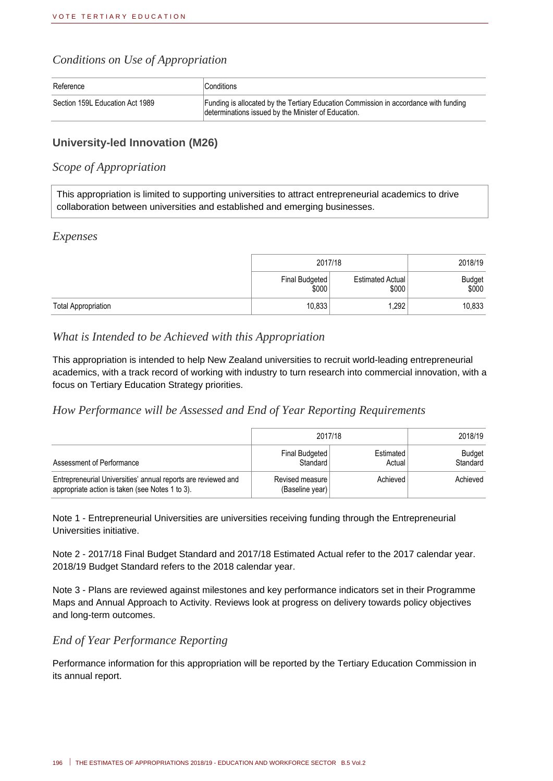#### *Conditions on Use of Appropriation*

| Reference                       | Conditions                                                                                                                                  |
|---------------------------------|---------------------------------------------------------------------------------------------------------------------------------------------|
| Section 159L Education Act 1989 | Funding is allocated by the Tertiary Education Commission in accordance with funding<br>determinations issued by the Minister of Education. |

#### **University-led Innovation (M26)**

#### *Scope of Appropriation*

This appropriation is limited to supporting universities to attract entrepreneurial academics to drive collaboration between universities and established and emerging businesses.

#### *Expenses*

|                            |                         | 2017/18                          |                 |  |
|----------------------------|-------------------------|----------------------------------|-----------------|--|
|                            | Final Budgeted<br>\$000 | <b>Estimated Actual</b><br>\$000 | Budget<br>\$000 |  |
| <b>Total Appropriation</b> | 10,833                  | 1,292                            | 10,833          |  |

#### *What is Intended to be Achieved with this Appropriation*

This appropriation is intended to help New Zealand universities to recruit world-leading entrepreneurial academics, with a track record of working with industry to turn research into commercial innovation, with a focus on Tertiary Education Strategy priorities.

#### *How Performance will be Assessed and End of Year Reporting Requirements*

|                                                                                                                  | 2017/18                            | 2018/19             |                    |
|------------------------------------------------------------------------------------------------------------------|------------------------------------|---------------------|--------------------|
| Assessment of Performance                                                                                        | Final Budgeted<br>Standard         | Estimated<br>Actual | Budget<br>Standard |
| Entrepreneurial Universities' annual reports are reviewed and<br>appropriate action is taken (see Notes 1 to 3). | Revised measure<br>(Baseline year) | Achieved            | Achieved           |

Note 1 - Entrepreneurial Universities are universities receiving funding through the Entrepreneurial Universities initiative.

Note 2 - 2017/18 Final Budget Standard and 2017/18 Estimated Actual refer to the 2017 calendar year. 2018/19 Budget Standard refers to the 2018 calendar year.

Note 3 - Plans are reviewed against milestones and key performance indicators set in their Programme Maps and Annual Approach to Activity. Reviews look at progress on delivery towards policy objectives and long-term outcomes.

#### *End of Year Performance Reporting*

Performance information for this appropriation will be reported by the Tertiary Education Commission in its annual report.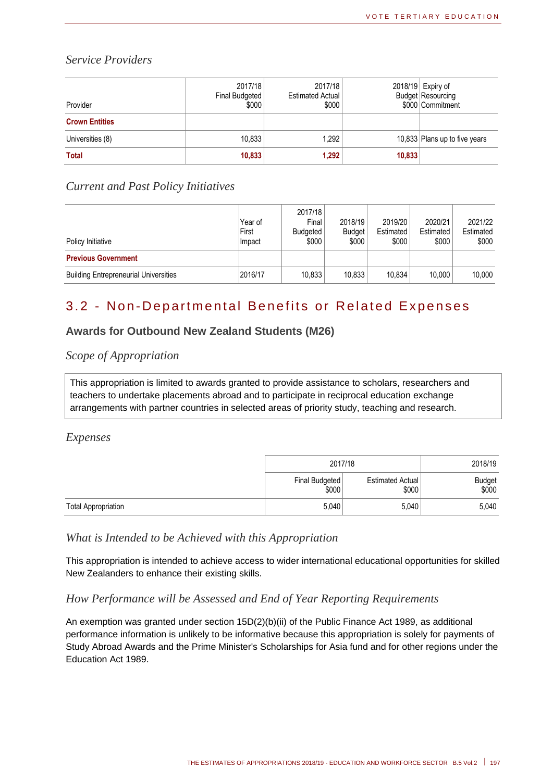#### *Service Providers*

| Provider              | 2017/18<br>Final Budgeted<br>\$000 | 2017/18<br><b>Estimated Actual</b><br>\$000 |        | 2018/19 Expiry of<br><b>Budget Resourcing</b><br>\$000 Commitment |
|-----------------------|------------------------------------|---------------------------------------------|--------|-------------------------------------------------------------------|
| <b>Crown Entities</b> |                                    |                                             |        |                                                                   |
| Universities (8)      | 10,833                             | 1,292                                       |        | 10,833 Plans up to five years                                     |
| <b>Total</b>          | 10,833                             | 1,292                                       | 10,833 |                                                                   |

#### *Current and Past Policy Initiatives*

| Policy Initiative                            | Year of<br>First<br>Impact | 2017/18<br>Final<br><b>Budgeted</b><br>\$000 | 2018/19<br><b>Budget</b><br>\$000 | 2019/20<br>Estimated<br>\$000 | 2020/21<br>Estimated<br>\$000 | 2021/22<br>Estimated<br>\$000 |
|----------------------------------------------|----------------------------|----------------------------------------------|-----------------------------------|-------------------------------|-------------------------------|-------------------------------|
| <b>Previous Government</b>                   |                            |                                              |                                   |                               |                               |                               |
| <b>Building Entrepreneurial Universities</b> | 2016/17                    | 10,833                                       | 10.833                            | 10.834                        | 10.000                        | 10.000                        |

## 3.2 - Non-Departmental Benefits or Related Expenses

#### **Awards for Outbound New Zealand Students (M26)**

#### *Scope of Appropriation*

This appropriation is limited to awards granted to provide assistance to scholars, researchers and teachers to undertake placements abroad and to participate in reciprocal education exchange arrangements with partner countries in selected areas of priority study, teaching and research.

#### *Expenses*

|                            | 2017/18                 | 2018/19                   |                 |
|----------------------------|-------------------------|---------------------------|-----------------|
|                            | Final Budgeted<br>\$000 | Estimated Actual<br>\$000 | Budget<br>\$000 |
| <b>Total Appropriation</b> | 5,040                   | 5,040                     | 5,040           |

#### *What is Intended to be Achieved with this Appropriation*

This appropriation is intended to achieve access to wider international educational opportunities for skilled New Zealanders to enhance their existing skills.

#### *How Performance will be Assessed and End of Year Reporting Requirements*

An exemption was granted under section 15D(2)(b)(ii) of the Public Finance Act 1989, as additional performance information is unlikely to be informative because this appropriation is solely for payments of Study Abroad Awards and the Prime Minister's Scholarships for Asia fund and for other regions under the Education Act 1989.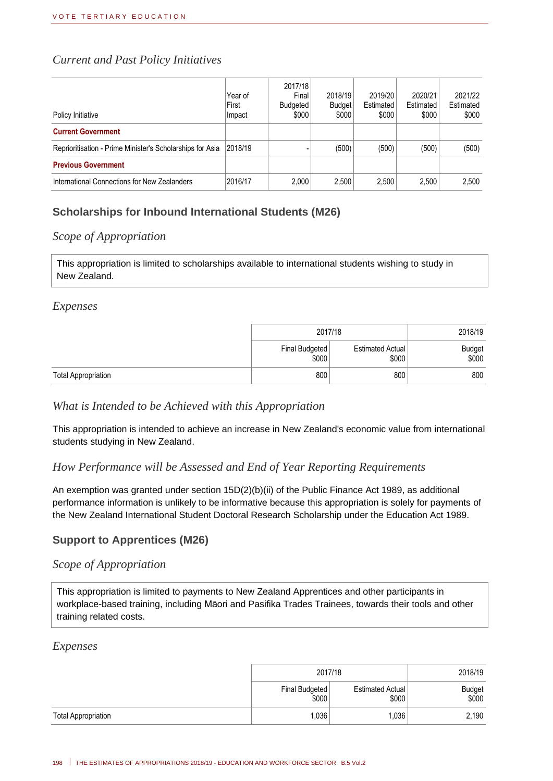#### *Current and Past Policy Initiatives*

| Policy Initiative                                         | Year of<br>First<br>Impact | 2017/18<br>Final<br>Budgeted<br>\$000 | 2018/19<br><b>Budget</b><br>\$000 | 2019/20<br>Estimated<br>\$000 | 2020/21<br>Estimated<br>\$000 | 2021/22<br>Estimated<br>\$000 |
|-----------------------------------------------------------|----------------------------|---------------------------------------|-----------------------------------|-------------------------------|-------------------------------|-------------------------------|
| <b>Current Government</b>                                 |                            |                                       |                                   |                               |                               |                               |
| Reprioritisation - Prime Minister's Scholarships for Asia | 2018/19                    |                                       | (500)                             | (500)                         | (500)                         | (500)                         |
| <b>Previous Government</b>                                |                            |                                       |                                   |                               |                               |                               |
| International Connections for New Zealanders              | 2016/17                    | 2,000                                 | 2,500                             | 2,500                         | 2.500                         | 2,500                         |

#### **Scholarships for Inbound International Students (M26)**

#### *Scope of Appropriation*

This appropriation is limited to scholarships available to international students wishing to study in New Zealand.

#### *Expenses*

|                            | 2017/18                 |                                  | 2018/19         |
|----------------------------|-------------------------|----------------------------------|-----------------|
|                            | Final Budgeted<br>\$000 | <b>Estimated Actual</b><br>\$000 | Budget<br>\$000 |
| <b>Total Appropriation</b> | 800                     | 800                              | 800             |

#### *What is Intended to be Achieved with this Appropriation*

This appropriation is intended to achieve an increase in New Zealand's economic value from international students studying in New Zealand.

#### *How Performance will be Assessed and End of Year Reporting Requirements*

An exemption was granted under section 15D(2)(b)(ii) of the Public Finance Act 1989, as additional performance information is unlikely to be informative because this appropriation is solely for payments of the New Zealand International Student Doctoral Research Scholarship under the Education Act 1989.

#### **Support to Apprentices (M26)**

#### *Scope of Appropriation*

This appropriation is limited to payments to New Zealand Apprentices and other participants in workplace-based training, including Māori and Pasifika Trades Trainees, towards their tools and other training related costs.

#### *Expenses*

|                            | 2017/18                 | 2018/19                   |                 |
|----------------------------|-------------------------|---------------------------|-----------------|
|                            | Final Budgeted<br>\$000 | Estimated Actual<br>\$000 | Budget<br>\$000 |
| <b>Total Appropriation</b> | 1,036                   | ,036                      | 2,190           |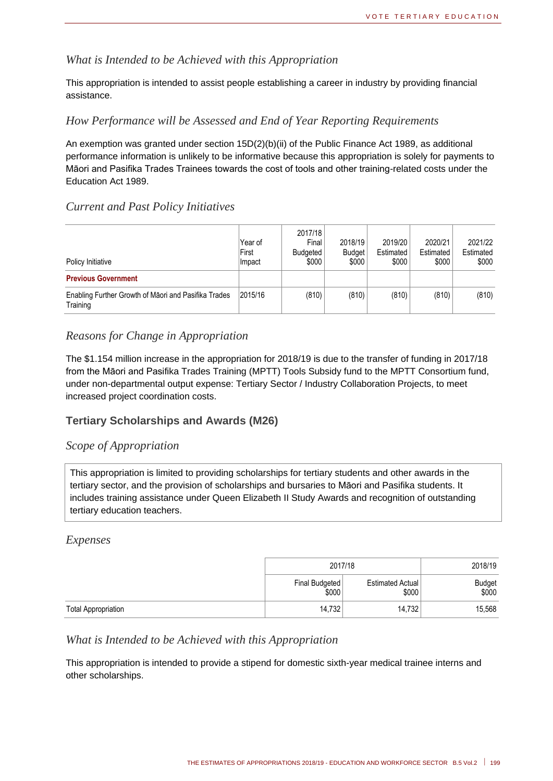#### *What is Intended to be Achieved with this Appropriation*

This appropriation is intended to assist people establishing a career in industry by providing financial assistance.

#### *How Performance will be Assessed and End of Year Reporting Requirements*

An exemption was granted under section 15D(2)(b)(ii) of the Public Finance Act 1989, as additional performance information is unlikely to be informative because this appropriation is solely for payments to Māori and Pasifika Trades Trainees towards the cost of tools and other training-related costs under the Education Act 1989.

#### *Current and Past Policy Initiatives*

| Policy Initiative                                                | Year of<br>First<br>Impact | 2017/18<br>Final<br>Budgeted<br>\$000 | 2018/19<br><b>Budget</b><br>\$000 | 2019/20<br>Estimated<br>\$000 | 2020/21<br>Estimated<br>\$000 | 2021/22<br>Estimated<br>\$000 |
|------------------------------------------------------------------|----------------------------|---------------------------------------|-----------------------------------|-------------------------------|-------------------------------|-------------------------------|
| <b>Previous Government</b>                                       |                            |                                       |                                   |                               |                               |                               |
| Enabling Further Growth of Maori and Pasifika Trades<br>Training | 2015/16                    | (810)                                 | (810)                             | (810)                         | (810)                         | (810)                         |

#### *Reasons for Change in Appropriation*

The \$1.154 million increase in the appropriation for 2018/19 is due to the transfer of funding in 2017/18 from the Māori and Pasifika Trades Training (MPTT) Tools Subsidy fund to the MPTT Consortium fund, under non-departmental output expense: Tertiary Sector / Industry Collaboration Projects, to meet increased project coordination costs.

#### **Tertiary Scholarships and Awards (M26)**

#### *Scope of Appropriation*

This appropriation is limited to providing scholarships for tertiary students and other awards in the tertiary sector, and the provision of scholarships and bursaries to Māori and Pasifika students. It includes training assistance under Queen Elizabeth II Study Awards and recognition of outstanding tertiary education teachers.

#### *Expenses*

|                            | 2017/18                 |                           | 2018/19         |
|----------------------------|-------------------------|---------------------------|-----------------|
|                            | Final Budgeted<br>\$000 | Estimated Actual<br>\$000 | Budget<br>\$000 |
| <b>Total Appropriation</b> | 14.732                  | 14.732                    | 15,568          |

#### *What is Intended to be Achieved with this Appropriation*

This appropriation is intended to provide a stipend for domestic sixth-year medical trainee interns and other scholarships.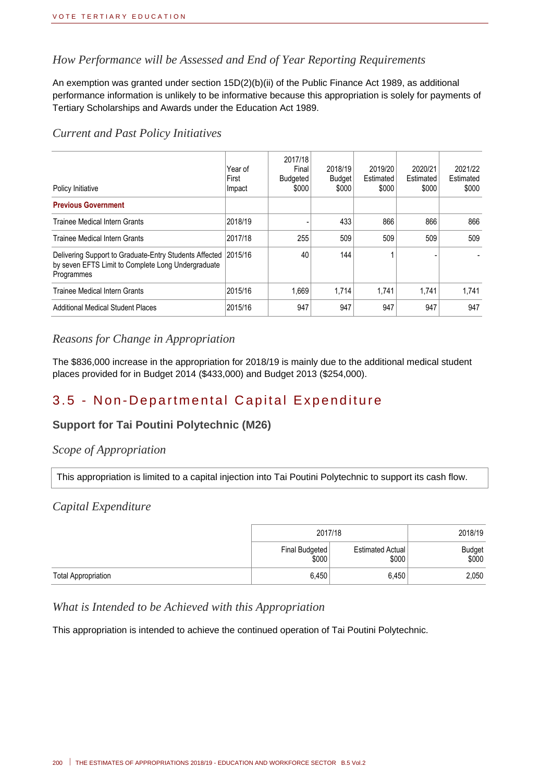#### *How Performance will be Assessed and End of Year Reporting Requirements*

An exemption was granted under section 15D(2)(b)(ii) of the Public Finance Act 1989, as additional performance information is unlikely to be informative because this appropriation is solely for payments of Tertiary Scholarships and Awards under the Education Act 1989.

#### *Current and Past Policy Initiatives*

| Policy Initiative                                                                                                                  | Year of<br>First<br>Impact | 2017/18<br>Final<br>Budgeted<br>\$000 | 2018/19<br><b>Budget</b><br>\$000 | 2019/20<br>Estimated<br>\$000 | 2020/21<br>Estimated<br>\$000 | 2021/22<br>Estimated<br>\$000 |
|------------------------------------------------------------------------------------------------------------------------------------|----------------------------|---------------------------------------|-----------------------------------|-------------------------------|-------------------------------|-------------------------------|
| <b>Previous Government</b>                                                                                                         |                            |                                       |                                   |                               |                               |                               |
| Trainee Medical Intern Grants                                                                                                      | 2018/19                    |                                       | 433                               | 866                           | 866                           | 866                           |
| <b>Trainee Medical Intern Grants</b>                                                                                               | 2017/18                    | 255                                   | 509                               | 509                           | 509                           | 509                           |
| Delivering Support to Graduate-Entry Students Affected 2015/16<br>by seven EFTS Limit to Complete Long Undergraduate<br>Programmes |                            | 40                                    | 144                               |                               |                               |                               |
| Trainee Medical Intern Grants                                                                                                      | 2015/16                    | 1.669                                 | 1,714                             | 1.741                         | 1.741                         | 1.741                         |
| <b>Additional Medical Student Places</b>                                                                                           | 2015/16                    | 947                                   | 947                               | 947                           | 947                           | 947                           |

#### *Reasons for Change in Appropriation*

The \$836,000 increase in the appropriation for 2018/19 is mainly due to the additional medical student places provided for in Budget 2014 (\$433,000) and Budget 2013 (\$254,000).

## 3.5 - Non-Departmental Capital Expenditure

#### **Support for Tai Poutini Polytechnic (M26)**

#### *Scope of Appropriation*

This appropriation is limited to a capital injection into Tai Poutini Polytechnic to support its cash flow.

#### *Capital Expenditure*

|                            | 2017/18                 |                           | 2018/19         |
|----------------------------|-------------------------|---------------------------|-----------------|
|                            | Final Budgeted<br>\$000 | Estimated Actual<br>\$000 | Budget<br>\$000 |
| <b>Total Appropriation</b> | 6,450                   | 6,450                     | 2,050           |

#### *What is Intended to be Achieved with this Appropriation*

This appropriation is intended to achieve the continued operation of Tai Poutini Polytechnic.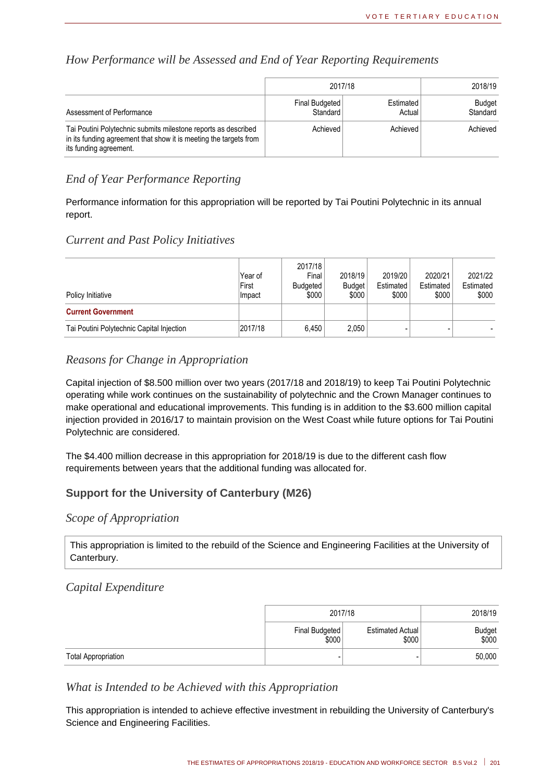#### *How Performance will be Assessed and End of Year Reporting Requirements*

|                                                                                                                                                               | 2017/18                    | 2018/19             |                           |
|---------------------------------------------------------------------------------------------------------------------------------------------------------------|----------------------------|---------------------|---------------------------|
| Assessment of Performance                                                                                                                                     | Final Budgeted<br>Standard | Estimated<br>Actual | <b>Budget</b><br>Standard |
| Tai Poutini Polytechnic submits milestone reports as described<br>in its funding agreement that show it is meeting the targets from<br>its funding agreement. | Achieved                   | Achieved            | Achieved                  |

#### *End of Year Performance Reporting*

Performance information for this appropriation will be reported by Tai Poutini Polytechnic in its annual report.

#### *Current and Past Policy Initiatives*

| Policy Initiative                         | Year of<br>First<br>Impact | 2017/18<br>Final<br><b>Budgeted</b><br>\$000 | 2018/19<br><b>Budget</b><br>\$000 | 2019/20<br>Estimated<br>\$000 | 2020/21<br>Estimated<br>\$000 | 2021/22<br>Estimated<br>\$000 |
|-------------------------------------------|----------------------------|----------------------------------------------|-----------------------------------|-------------------------------|-------------------------------|-------------------------------|
| <b>Current Government</b>                 |                            |                                              |                                   |                               |                               |                               |
| Tai Poutini Polytechnic Capital Injection | 2017/18                    | 6.450                                        | 2,050                             |                               |                               |                               |

#### *Reasons for Change in Appropriation*

Capital injection of \$8.500 million over two years (2017/18 and 2018/19) to keep Tai Poutini Polytechnic operating while work continues on the sustainability of polytechnic and the Crown Manager continues to make operational and educational improvements. This funding is in addition to the \$3.600 million capital injection provided in 2016/17 to maintain provision on the West Coast while future options for Tai Poutini Polytechnic are considered.

The \$4.400 million decrease in this appropriation for 2018/19 is due to the different cash flow requirements between years that the additional funding was allocated for.

#### **Support for the University of Canterbury (M26)**

#### *Scope of Appropriation*

This appropriation is limited to the rebuild of the Science and Engineering Facilities at the University of Canterbury.

#### *Capital Expenditure*

|                            | 2017/18                 | 2018/19                   |                 |
|----------------------------|-------------------------|---------------------------|-----------------|
|                            | Final Budgeted<br>\$000 | Estimated Actual<br>\$000 | Budget<br>\$000 |
| <b>Total Appropriation</b> |                         | -                         | 50,000          |

#### *What is Intended to be Achieved with this Appropriation*

This appropriation is intended to achieve effective investment in rebuilding the University of Canterbury's Science and Engineering Facilities.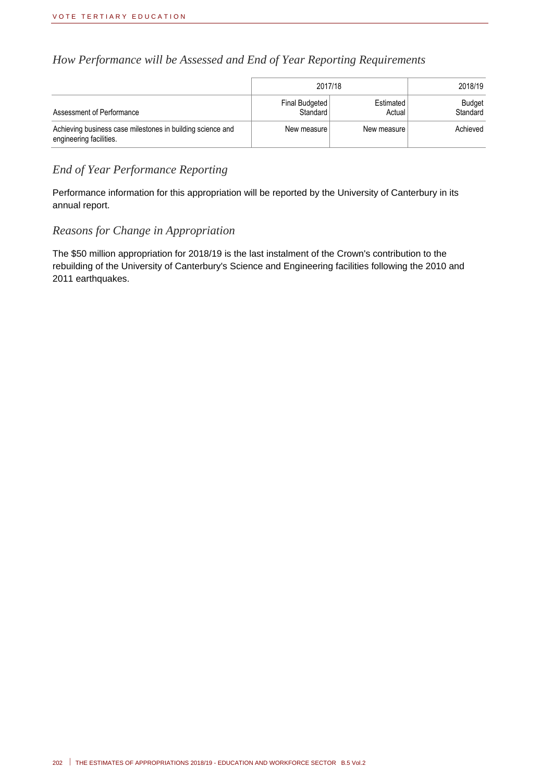#### *How Performance will be Assessed and End of Year Reporting Requirements*

|                                                                                       | 2017/18                    | 2018/19             |                    |
|---------------------------------------------------------------------------------------|----------------------------|---------------------|--------------------|
| Assessment of Performance                                                             | Final Budgeted<br>Standard | Estimated<br>Actual | Budget<br>Standard |
| Achieving business case milestones in building science and<br>engineering facilities. | New measure                | New measure         | Achieved           |

#### *End of Year Performance Reporting*

Performance information for this appropriation will be reported by the University of Canterbury in its annual report.

#### *Reasons for Change in Appropriation*

The \$50 million appropriation for 2018/19 is the last instalment of the Crown's contribution to the rebuilding of the University of Canterbury's Science and Engineering facilities following the 2010 and 2011 earthquakes.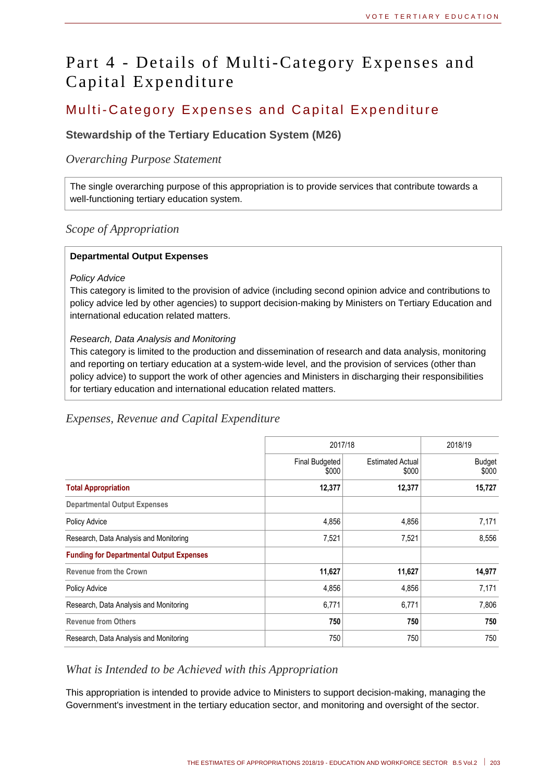## Part 4 - Details of Multi-Category Expenses and Capital Expenditure

## Multi-Category Expenses and Capital Expenditure

#### **Stewardship of the Tertiary Education System (M26)**

#### *Overarching Purpose Statement*

The single overarching purpose of this appropriation is to provide services that contribute towards a well-functioning tertiary education system.

#### *Scope of Appropriation*

#### **Departmental Output Expenses**

#### *Policy Advice*

This category is limited to the provision of advice (including second opinion advice and contributions to policy advice led by other agencies) to support decision-making by Ministers on Tertiary Education and international education related matters.

#### *Research, Data Analysis and Monitoring*

This category is limited to the production and dissemination of research and data analysis, monitoring and reporting on tertiary education at a system-wide level, and the provision of services (other than policy advice) to support the work of other agencies and Ministers in discharging their responsibilities for tertiary education and international education related matters.

#### *Expenses, Revenue and Capital Expenditure*

|                                                 | 2017/18                 |                                  | 2018/19                |
|-------------------------------------------------|-------------------------|----------------------------------|------------------------|
|                                                 | Final Budgeted<br>\$000 | <b>Estimated Actual</b><br>\$000 | <b>Budget</b><br>\$000 |
| <b>Total Appropriation</b>                      | 12,377                  | 12,377                           | 15,727                 |
| <b>Departmental Output Expenses</b>             |                         |                                  |                        |
| Policy Advice                                   | 4,856                   | 4,856                            | 7,171                  |
| Research, Data Analysis and Monitoring          | 7,521                   | 7,521                            | 8,556                  |
| <b>Funding for Departmental Output Expenses</b> |                         |                                  |                        |
| <b>Revenue from the Crown</b>                   | 11,627                  | 11,627                           | 14,977                 |
| Policy Advice                                   | 4,856                   | 4,856                            | 7,171                  |
| Research, Data Analysis and Monitoring          | 6,771                   | 6,771                            | 7,806                  |
| <b>Revenue from Others</b>                      | 750                     | 750                              | 750                    |
| Research, Data Analysis and Monitoring          | 750                     | 750                              | 750                    |

#### *What is Intended to be Achieved with this Appropriation*

This appropriation is intended to provide advice to Ministers to support decision-making, managing the Government's investment in the tertiary education sector, and monitoring and oversight of the sector.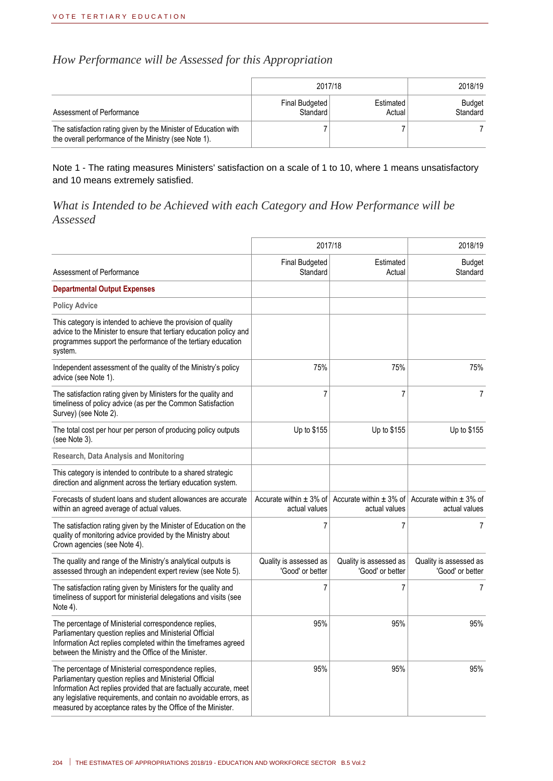### *How Performance will be Assessed for this Appropriation*

|                                                                                                                          |                            | 2017/18             |                           |  |
|--------------------------------------------------------------------------------------------------------------------------|----------------------------|---------------------|---------------------------|--|
| Assessment of Performance                                                                                                | Final Budgeted<br>Standard | Estimated<br>Actual | <b>Budget</b><br>Standard |  |
| The satisfaction rating given by the Minister of Education with<br>the overall performance of the Ministry (see Note 1). |                            |                     |                           |  |

Note 1 - The rating measures Ministers' satisfaction on a scale of 1 to 10, where 1 means unsatisfactory and 10 means extremely satisfied.

#### *What is Intended to be Achieved with each Category and How Performance will be Assessed*

|                                                                                                                                                                                                                                                                                                                            | 2017/18                                    |                                                                                                      | 2018/19                                    |
|----------------------------------------------------------------------------------------------------------------------------------------------------------------------------------------------------------------------------------------------------------------------------------------------------------------------------|--------------------------------------------|------------------------------------------------------------------------------------------------------|--------------------------------------------|
| Assessment of Performance                                                                                                                                                                                                                                                                                                  | <b>Final Budgeted</b><br>Standard          | Estimated<br>Actual                                                                                  | <b>Budget</b><br>Standard                  |
| <b>Departmental Output Expenses</b>                                                                                                                                                                                                                                                                                        |                                            |                                                                                                      |                                            |
| <b>Policy Advice</b>                                                                                                                                                                                                                                                                                                       |                                            |                                                                                                      |                                            |
| This category is intended to achieve the provision of quality<br>advice to the Minister to ensure that tertiary education policy and<br>programmes support the performance of the tertiary education<br>system.                                                                                                            |                                            |                                                                                                      |                                            |
| Independent assessment of the quality of the Ministry's policy<br>advice (see Note 1).                                                                                                                                                                                                                                     | 75%                                        | 75%                                                                                                  | 75%                                        |
| The satisfaction rating given by Ministers for the quality and<br>timeliness of policy advice (as per the Common Satisfaction<br>Survey) (see Note 2).                                                                                                                                                                     | $\overline{7}$                             | $\overline{7}$                                                                                       | 7                                          |
| The total cost per hour per person of producing policy outputs<br>(see Note 3).                                                                                                                                                                                                                                            | Up to \$155                                | Up to \$155                                                                                          | Up to \$155                                |
| Research, Data Analysis and Monitoring                                                                                                                                                                                                                                                                                     |                                            |                                                                                                      |                                            |
| This category is intended to contribute to a shared strategic<br>direction and alignment across the tertiary education system.                                                                                                                                                                                             |                                            |                                                                                                      |                                            |
| Forecasts of student loans and student allowances are accurate<br>within an agreed average of actual values.                                                                                                                                                                                                               | actual values                              | Accurate within $\pm$ 3% of Accurate within $\pm$ 3% of Accurate within $\pm$ 3% of<br>actual values | actual values                              |
| The satisfaction rating given by the Minister of Education on the<br>quality of monitoring advice provided by the Ministry about<br>Crown agencies (see Note 4).                                                                                                                                                           | 7                                          | 7                                                                                                    | $\overline{7}$                             |
| The quality and range of the Ministry's analytical outputs is<br>assessed through an independent expert review (see Note 5).                                                                                                                                                                                               | Quality is assessed as<br>'Good' or better | Quality is assessed as<br>'Good' or better                                                           | Quality is assessed as<br>'Good' or better |
| The satisfaction rating given by Ministers for the quality and<br>timeliness of support for ministerial delegations and visits (see<br>Note 4).                                                                                                                                                                            | 7                                          | $\overline{7}$                                                                                       | 7                                          |
| The percentage of Ministerial correspondence replies,<br>Parliamentary question replies and Ministerial Official<br>Information Act replies completed within the timeframes agreed<br>between the Ministry and the Office of the Minister.                                                                                 | 95%                                        | 95%                                                                                                  | 95%                                        |
| The percentage of Ministerial correspondence replies,<br>Parliamentary question replies and Ministerial Official<br>Information Act replies provided that are factually accurate, meet<br>any legislative requirements, and contain no avoidable errors, as<br>measured by acceptance rates by the Office of the Minister. | 95%                                        | 95%                                                                                                  | 95%                                        |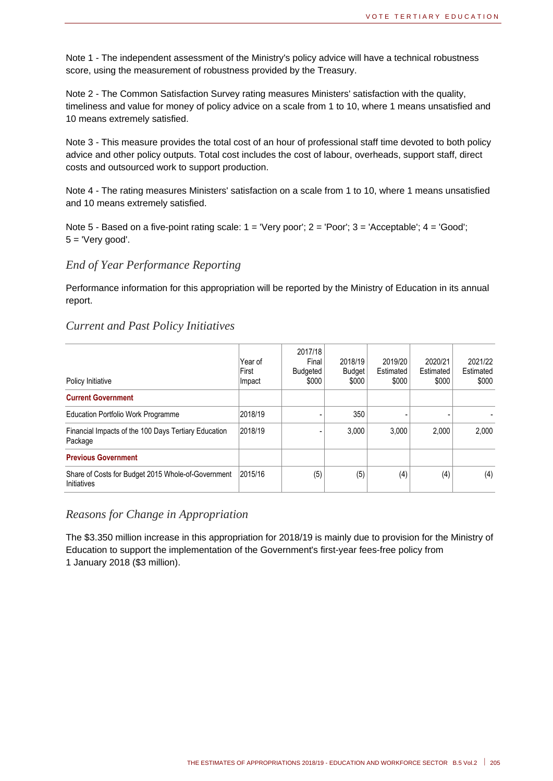Note 1 - The independent assessment of the Ministry's policy advice will have a technical robustness score, using the measurement of robustness provided by the Treasury.

Note 2 - The Common Satisfaction Survey rating measures Ministers' satisfaction with the quality, timeliness and value for money of policy advice on a scale from 1 to 10, where 1 means unsatisfied and 10 means extremely satisfied.

Note 3 - This measure provides the total cost of an hour of professional staff time devoted to both policy advice and other policy outputs. Total cost includes the cost of labour, overheads, support staff, direct costs and outsourced work to support production.

Note 4 - The rating measures Ministers' satisfaction on a scale from 1 to 10, where 1 means unsatisfied and 10 means extremely satisfied.

Note 5 - Based on a five-point rating scale: 1 = 'Very poor'; 2 = 'Poor'; 3 = 'Acceptable'; 4 = 'Good';  $5 =$  'Very good'.

#### *End of Year Performance Reporting*

Performance information for this appropriation will be reported by the Ministry of Education in its annual report.

#### *Current and Past Policy Initiatives*

| Policy Initiative                                                 | Year of<br>First<br>Impact | 2017/18<br>Final<br>Budgeted<br>\$000 | 2018/19<br><b>Budget</b><br>\$000 | 2019/20<br>Estimated<br>\$000 | 2020/21<br>Estimated<br>\$000 | 2021/22<br>Estimated<br>\$000 |
|-------------------------------------------------------------------|----------------------------|---------------------------------------|-----------------------------------|-------------------------------|-------------------------------|-------------------------------|
| <b>Current Government</b>                                         |                            |                                       |                                   |                               |                               |                               |
| <b>Education Portfolio Work Programme</b>                         | 2018/19                    |                                       | 350                               |                               |                               |                               |
| Financial Impacts of the 100 Days Tertiary Education<br>Package   | 2018/19                    |                                       | 3.000                             | 3.000                         | 2.000                         | 2.000                         |
| <b>Previous Government</b>                                        |                            |                                       |                                   |                               |                               |                               |
| Share of Costs for Budget 2015 Whole-of-Government<br>Initiatives | 2015/16                    | (5)                                   | (5)                               | (4)                           | (4)                           | (4)                           |

#### *Reasons for Change in Appropriation*

The \$3.350 million increase in this appropriation for 2018/19 is mainly due to provision for the Ministry of Education to support the implementation of the Government's first-year fees-free policy from 1 January 2018 (\$3 million).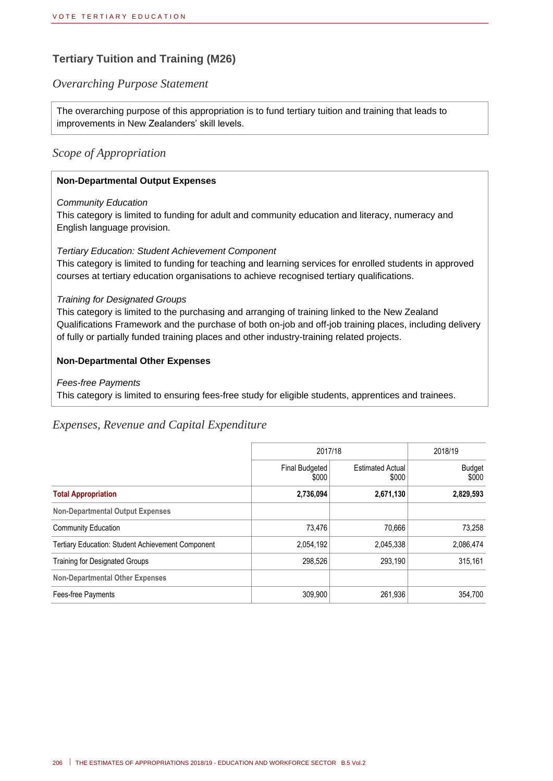#### **Tertiary Tuition and Training (M26)**

#### *Overarching Purpose Statement*

The overarching purpose of this appropriation is to fund tertiary tuition and training that leads to improvements in New Zealanders' skill levels.

#### *Scope of Appropriation*

#### **Non-Departmental Output Expenses**

#### *Community Education*

This category is limited to funding for adult and community education and literacy, numeracy and English language provision.

#### *Tertiary Education: Student Achievement Component*

This category is limited to funding for teaching and learning services for enrolled students in approved courses at tertiary education organisations to achieve recognised tertiary qualifications.

#### *Training for Designated Groups*

This category is limited to the purchasing and arranging of training linked to the New Zealand Qualifications Framework and the purchase of both on-job and off-job training places, including delivery of fully or partially funded training places and other industry-training related projects.

#### **Non-Departmental Other Expenses**

#### *Fees-free Payments*

This category is limited to ensuring fees-free study for eligible students, apprentices and trainees.

#### *Expenses, Revenue and Capital Expenditure*

|                                                          | 2017/18                 |                                  | 2018/19         |  |
|----------------------------------------------------------|-------------------------|----------------------------------|-----------------|--|
|                                                          | Final Budgeted<br>\$000 | <b>Estimated Actual</b><br>\$000 | Budget<br>\$000 |  |
| <b>Total Appropriation</b>                               | 2,736,094               | 2,671,130                        | 2,829,593       |  |
| <b>Non-Departmental Output Expenses</b>                  |                         |                                  |                 |  |
| <b>Community Education</b>                               | 73.476                  | 70,666                           | 73.258          |  |
| <b>Tertiary Education: Student Achievement Component</b> | 2,054,192               | 2,045,338                        | 2,086,474       |  |
| <b>Training for Designated Groups</b>                    | 298,526                 | 293,190                          | 315,161         |  |
| <b>Non-Departmental Other Expenses</b>                   |                         |                                  |                 |  |
| Fees-free Payments                                       | 309,900                 | 261,936                          | 354.700         |  |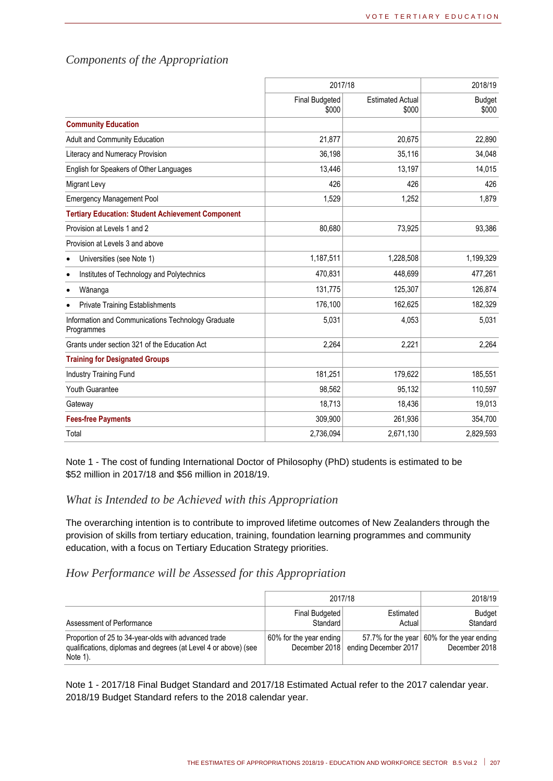|                                                                  | 2017/18                        |                                  | 2018/19                |
|------------------------------------------------------------------|--------------------------------|----------------------------------|------------------------|
|                                                                  | <b>Final Budgeted</b><br>\$000 | <b>Estimated Actual</b><br>\$000 | <b>Budget</b><br>\$000 |
| <b>Community Education</b>                                       |                                |                                  |                        |
| Adult and Community Education                                    | 21,877                         | 20,675                           | 22,890                 |
| Literacy and Numeracy Provision                                  | 36.198                         | 35,116                           | 34,048                 |
| English for Speakers of Other Languages                          | 13,446                         | 13,197                           | 14,015                 |
| Migrant Levy                                                     | 426                            | 426                              | 426                    |
| <b>Emergency Management Pool</b>                                 | 1,529                          | 1,252                            | 1,879                  |
| <b>Tertiary Education: Student Achievement Component</b>         |                                |                                  |                        |
| Provision at Levels 1 and 2                                      | 80,680                         | 73,925                           | 93,386                 |
| Provision at Levels 3 and above                                  |                                |                                  |                        |
| Universities (see Note 1)                                        | 1,187,511                      | 1,228,508                        | 1,199,329              |
| Institutes of Technology and Polytechnics                        | 470,831                        | 448,699                          | 477,261                |
| Wānanga                                                          | 131,775                        | 125,307                          | 126,874                |
| <b>Private Training Establishments</b>                           | 176,100                        | 162,625                          | 182,329                |
| Information and Communications Technology Graduate<br>Programmes | 5,031                          | 4,053                            | 5,031                  |
| Grants under section 321 of the Education Act                    | 2,264                          | 2,221                            | 2,264                  |
| <b>Training for Designated Groups</b>                            |                                |                                  |                        |
| <b>Industry Training Fund</b>                                    | 181,251                        | 179,622                          | 185,551                |
| Youth Guarantee                                                  | 98,562                         | 95,132                           | 110,597                |
| Gateway                                                          | 18,713                         | 18,436                           | 19,013                 |
| <b>Fees-free Payments</b>                                        | 309,900                        | 261,936                          | 354,700                |
| Total                                                            | 2,736,094                      | 2,671,130                        | 2,829,593              |

#### *Components of the Appropriation*

Note 1 - The cost of funding International Doctor of Philosophy (PhD) students is estimated to be \$52 million in 2017/18 and \$56 million in 2018/19.

#### *What is Intended to be Achieved with this Appropriation*

The overarching intention is to contribute to improved lifetime outcomes of New Zealanders through the provision of skills from tertiary education, training, foundation learning programmes and community education, with a focus on Tertiary Education Strategy priorities.

#### *How Performance will be Assessed for this Appropriation*

|                                                                                                                                     | 2017/18                                  | 2018/19              |                                                             |
|-------------------------------------------------------------------------------------------------------------------------------------|------------------------------------------|----------------------|-------------------------------------------------------------|
| Assessment of Performance                                                                                                           | Final Budgeted<br>Standard               | Estimated<br>Actual  | <b>Budget</b><br>Standard                                   |
| Proportion of 25 to 34-year-olds with advanced trade<br>qualifications, diplomas and degrees (at Level 4 or above) (see<br>Note 1). | 60% for the year ending<br>December 2018 | ending December 2017 | 57.7% for the year 60% for the year ending<br>December 2018 |

Note 1 - 2017/18 Final Budget Standard and 2017/18 Estimated Actual refer to the 2017 calendar year. 2018/19 Budget Standard refers to the 2018 calendar year.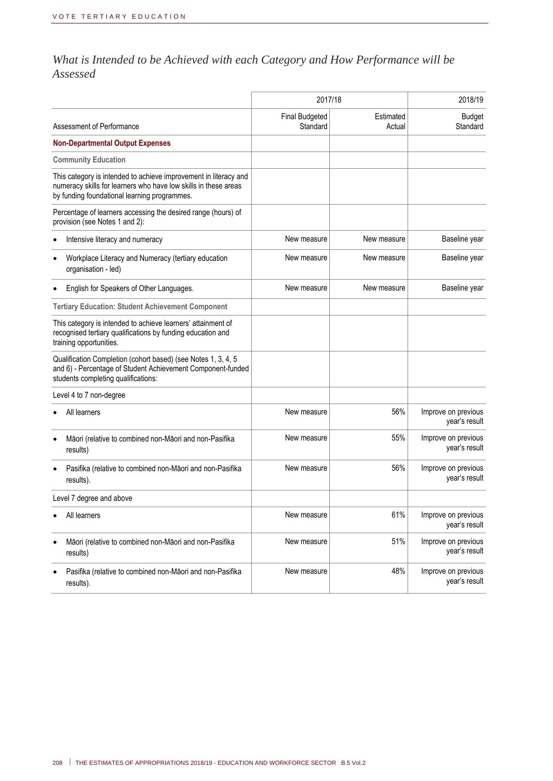### *What is Intended to be Achieved with each Category and How Performance will be Assessed*

|                                                                                                                                                                                     | 2017/18                           |                     | 2018/19                              |  |
|-------------------------------------------------------------------------------------------------------------------------------------------------------------------------------------|-----------------------------------|---------------------|--------------------------------------|--|
| Assessment of Performance                                                                                                                                                           | <b>Final Budgeted</b><br>Standard | Estimated<br>Actual | <b>Budget</b><br>Standard            |  |
| <b>Non-Departmental Output Expenses</b>                                                                                                                                             |                                   |                     |                                      |  |
| <b>Community Education</b>                                                                                                                                                          |                                   |                     |                                      |  |
| This category is intended to achieve improvement in literacy and<br>numeracy skills for learners who have low skills in these areas<br>by funding foundational learning programmes. |                                   |                     |                                      |  |
| Percentage of learners accessing the desired range (hours) of<br>provision (see Notes 1 and 2):                                                                                     |                                   |                     |                                      |  |
| Intensive literacy and numeracy                                                                                                                                                     | New measure                       | New measure         | Baseline year                        |  |
| Workplace Literacy and Numeracy (tertiary education<br>organisation - led)                                                                                                          | New measure                       | New measure         | Baseline year                        |  |
| English for Speakers of Other Languages.                                                                                                                                            | New measure                       | New measure         | Baseline year                        |  |
| <b>Tertiary Education: Student Achievement Component</b>                                                                                                                            |                                   |                     |                                      |  |
| This category is intended to achieve learners' attainment of<br>recognised tertiary qualifications by funding education and<br>training opportunities.                              |                                   |                     |                                      |  |
| Qualification Completion (cohort based) (see Notes 1, 3, 4, 5<br>and 6) - Percentage of Student Achievement Component-funded<br>students completing qualifications:                 |                                   |                     |                                      |  |
| Level 4 to 7 non-degree                                                                                                                                                             |                                   |                     |                                      |  |
| All learners                                                                                                                                                                        | New measure                       | 56%                 | Improve on previous<br>year's result |  |
| Māori (relative to combined non-Māori and non-Pasifika<br>results)                                                                                                                  | New measure                       | 55%                 | Improve on previous<br>year's result |  |
| Pasifika (relative to combined non-Māori and non-Pasifika<br>results).                                                                                                              | New measure                       | 56%                 | Improve on previous<br>year's result |  |
| Level 7 degree and above                                                                                                                                                            |                                   |                     |                                      |  |
| All learners                                                                                                                                                                        | New measure                       | 61%                 | Improve on previous<br>year's result |  |
| Māori (relative to combined non-Māori and non-Pasifika<br>results)                                                                                                                  | New measure                       | 51%                 | Improve on previous<br>year's result |  |
| Pasifika (relative to combined non-Māori and non-Pasifika<br>results).                                                                                                              | New measure                       | 48%                 | Improve on previous<br>year's result |  |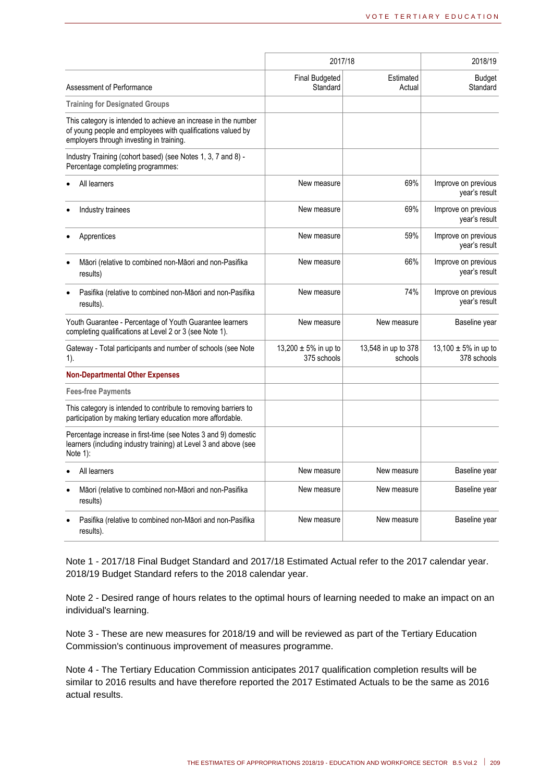|                                                                                                                                                                           | 2017/18                                 | 2018/19                        |                                      |
|---------------------------------------------------------------------------------------------------------------------------------------------------------------------------|-----------------------------------------|--------------------------------|--------------------------------------|
| Assessment of Performance                                                                                                                                                 | <b>Final Budgeted</b><br>Standard       | Estimated<br>Actual            | <b>Budget</b><br>Standard            |
| <b>Training for Designated Groups</b>                                                                                                                                     |                                         |                                |                                      |
| This category is intended to achieve an increase in the number<br>of young people and employees with qualifications valued by<br>employers through investing in training. |                                         |                                |                                      |
| Industry Training (cohort based) (see Notes 1, 3, 7 and 8) -<br>Percentage completing programmes:                                                                         |                                         |                                |                                      |
| All learners                                                                                                                                                              | New measure                             | 69%                            | Improve on previous<br>year's result |
| Industry trainees                                                                                                                                                         | New measure                             | 69%                            | Improve on previous<br>year's result |
| Apprentices                                                                                                                                                               | New measure                             | 59%                            | Improve on previous<br>year's result |
| Māori (relative to combined non-Māori and non-Pasifika<br>results)                                                                                                        | New measure                             | 66%                            | Improve on previous<br>year's result |
| Pasifika (relative to combined non-Māori and non-Pasifika<br>results).                                                                                                    | New measure                             | 74%                            | Improve on previous<br>year's result |
| Youth Guarantee - Percentage of Youth Guarantee learners<br>completing qualifications at Level 2 or 3 (see Note 1).                                                       | New measure                             | New measure                    | Baseline year                        |
| Gateway - Total participants and number of schools (see Note<br>$1$ ).                                                                                                    | 13,200 $\pm$ 5% in up to<br>375 schools | 13,548 in up to 378<br>schools | 13,100 ± 5% in up to<br>378 schools  |
| <b>Non-Departmental Other Expenses</b>                                                                                                                                    |                                         |                                |                                      |
| <b>Fees-free Payments</b>                                                                                                                                                 |                                         |                                |                                      |
| This category is intended to contribute to removing barriers to<br>participation by making tertiary education more affordable.                                            |                                         |                                |                                      |
| Percentage increase in first-time (see Notes 3 and 9) domestic<br>learners (including industry training) at Level 3 and above (see<br>Note 1):                            |                                         |                                |                                      |
| All learners                                                                                                                                                              | New measure                             | New measure                    | Baseline year                        |
| Māori (relative to combined non-Māori and non-Pasifika<br>results)                                                                                                        | New measure                             | New measure                    | Baseline year                        |
| Pasifika (relative to combined non-Māori and non-Pasifika<br>results).                                                                                                    | New measure                             | New measure                    | Baseline year                        |

Note 1 - 2017/18 Final Budget Standard and 2017/18 Estimated Actual refer to the 2017 calendar year. 2018/19 Budget Standard refers to the 2018 calendar year.

Note 2 - Desired range of hours relates to the optimal hours of learning needed to make an impact on an individual's learning.

Note 3 - These are new measures for 2018/19 and will be reviewed as part of the Tertiary Education Commission's continuous improvement of measures programme.

Note 4 - The Tertiary Education Commission anticipates 2017 qualification completion results will be similar to 2016 results and have therefore reported the 2017 Estimated Actuals to be the same as 2016 actual results.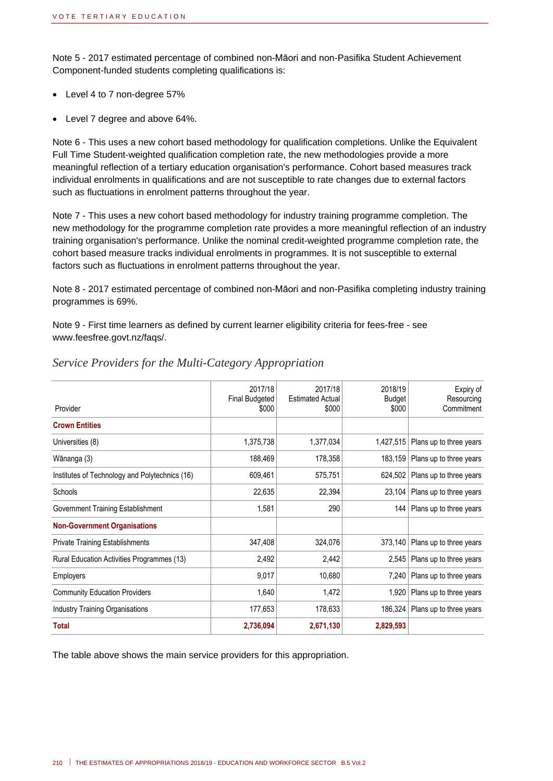Note 5 - 2017 estimated percentage of combined non-Māori and non-Pasifika Student Achievement Component-funded students completing qualifications is:

- Level 4 to 7 non-degree 57%
- Level 7 degree and above 64%.

Note 6 - This uses a new cohort based methodology for qualification completions. Unlike the Equivalent Full Time Student-weighted qualification completion rate, the new methodologies provide a more meaningful reflection of a tertiary education organisation's performance. Cohort based measures track individual enrolments in qualifications and are not susceptible to rate changes due to external factors such as fluctuations in enrolment patterns throughout the year.

Note 7 - This uses a new cohort based methodology for industry training programme completion. The new methodology for the programme completion rate provides a more meaningful reflection of an industry training organisation's performance. Unlike the nominal credit-weighted programme completion rate, the cohort based measure tracks individual enrolments in programmes. It is not susceptible to external factors such as fluctuations in enrolment patterns throughout the year.

Note 8 - 2017 estimated percentage of combined non-Māori and non-Pasifika completing industry training programmes is 69%.

Note 9 - First time learners as defined by current learner eligibility criteria for fees-free - see www.feesfree.govt.nz/faqs/.

| 2017/18<br><b>Final Budgeted</b><br>\$000 | 2017/18<br><b>Estimated Actual</b><br>\$000 | 2018/19<br>Budget<br>\$000 | Expiry of<br>Resourcing<br>Commitment |
|-------------------------------------------|---------------------------------------------|----------------------------|---------------------------------------|
|                                           |                                             |                            |                                       |
| 1,375,738                                 | 1,377,034                                   | 1,427,515                  | Plans up to three years               |
| 188,469                                   | 178,358                                     | 183,159                    | Plans up to three years               |
| 609,461                                   | 575,751                                     | 624,502                    | Plans up to three years               |
| 22,635                                    | 22,394                                      | 23,104                     | Plans up to three years               |
| 1,581                                     | 290                                         | 144                        | Plans up to three years               |
|                                           |                                             |                            |                                       |
| 347,408                                   | 324,076                                     | 373,140                    | Plans up to three years               |
| 2,492                                     | 2,442                                       | 2,545                      | Plans up to three years               |
| 9,017                                     | 10,680                                      | 7,240                      | Plans up to three years               |
| 1,640                                     | 1,472                                       | 1,920                      | Plans up to three years               |
| 177,653                                   | 178,633                                     | 186,324                    | Plans up to three years               |
| 2,736,094                                 | 2,671,130                                   | 2,829,593                  |                                       |
|                                           |                                             |                            |                                       |

#### *Service Providers for the Multi-Category Appropriation*

The table above shows the main service providers for this appropriation.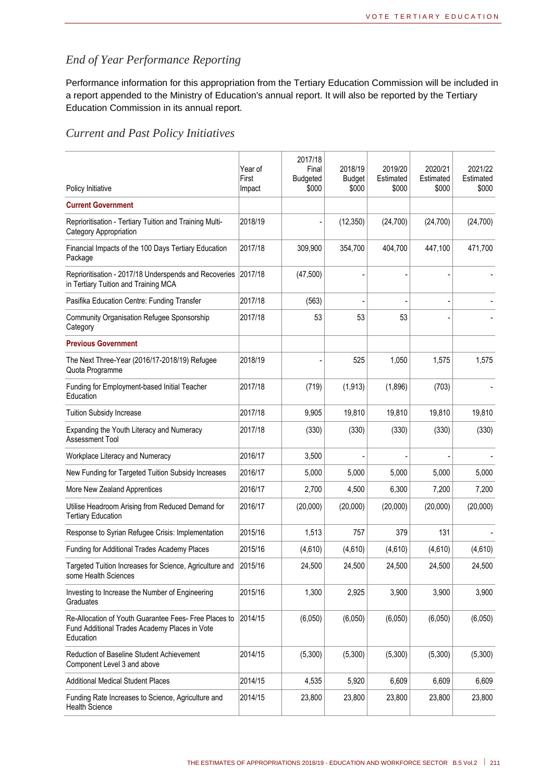### *End of Year Performance Reporting*

Performance information for this appropriation from the Tertiary Education Commission will be included in a report appended to the Ministry of Education's annual report. It will also be reported by the Tertiary Education Commission in its annual report.

#### *Current and Past Policy Initiatives*

| Policy Initiative                                                                                                   | Year of<br>First<br>Impact | 2017/18<br>Final<br><b>Budgeted</b><br>\$000 | 2018/19<br><b>Budget</b><br>\$000 | 2019/20<br>Estimated<br>\$000 | 2020/21<br>Estimated<br>\$000 | 2021/22<br>Estimated<br>\$000 |
|---------------------------------------------------------------------------------------------------------------------|----------------------------|----------------------------------------------|-----------------------------------|-------------------------------|-------------------------------|-------------------------------|
| <b>Current Government</b>                                                                                           |                            |                                              |                                   |                               |                               |                               |
| Reprioritisation - Tertiary Tuition and Training Multi-<br>Category Appropriation                                   | 2018/19                    |                                              | (12, 350)                         | (24,700)                      | (24, 700)                     | (24,700)                      |
| Financial Impacts of the 100 Days Tertiary Education<br>Package                                                     | 2017/18                    | 309,900                                      | 354,700                           | 404,700                       | 447,100                       | 471,700                       |
| Reprioritisation - 2017/18 Underspends and Recoveries<br>in Tertiary Tuition and Training MCA                       | 2017/18                    | (47, 500)                                    |                                   |                               |                               |                               |
| Pasifika Education Centre: Funding Transfer                                                                         | 2017/18                    | (563)                                        |                                   |                               |                               |                               |
| <b>Community Organisation Refugee Sponsorship</b><br>Category                                                       | 2017/18                    | 53                                           | 53                                | 53                            |                               |                               |
| <b>Previous Government</b>                                                                                          |                            |                                              |                                   |                               |                               |                               |
| The Next Three-Year (2016/17-2018/19) Refugee<br>Quota Programme                                                    | 2018/19                    |                                              | 525                               | 1,050                         | 1,575                         | 1,575                         |
| Funding for Employment-based Initial Teacher<br>Education                                                           | 2017/18                    | (719)                                        | (1, 913)                          | (1,896)                       | (703)                         |                               |
| <b>Tuition Subsidy Increase</b>                                                                                     | 2017/18                    | 9,905                                        | 19,810                            | 19,810                        | 19,810                        | 19,810                        |
| Expanding the Youth Literacy and Numeracy<br><b>Assessment Tool</b>                                                 | 2017/18                    | (330)                                        | (330)                             | (330)                         | (330)                         | (330)                         |
| Workplace Literacy and Numeracy                                                                                     | 2016/17                    | 3,500                                        |                                   |                               |                               |                               |
| New Funding for Targeted Tuition Subsidy Increases                                                                  | 2016/17                    | 5,000                                        | 5,000                             | 5,000                         | 5,000                         | 5,000                         |
| More New Zealand Apprentices                                                                                        | 2016/17                    | 2,700                                        | 4,500                             | 6,300                         | 7,200                         | 7,200                         |
| Utilise Headroom Arising from Reduced Demand for<br><b>Tertiary Education</b>                                       | 2016/17                    | (20,000)                                     | (20,000)                          | (20,000)                      | (20,000)                      | (20,000)                      |
| Response to Syrian Refugee Crisis: Implementation                                                                   | 2015/16                    | 1,513                                        | 757                               | 379                           | 131                           |                               |
| Funding for Additional Trades Academy Places                                                                        | 2015/16                    | (4,610)                                      | (4,610)                           | (4,610)                       | (4,610)                       | (4,610)                       |
| Targeted Tuition Increases for Science, Agriculture and<br>some Health Sciences                                     | 2015/16                    | 24,500                                       | 24,500                            | 24.500                        | 24,500                        | 24,500                        |
| Investing to Increase the Number of Engineering<br>Graduates                                                        | 2015/16                    | 1,300                                        | 2,925                             | 3,900                         | 3,900                         | 3,900                         |
| Re-Allocation of Youth Guarantee Fees- Free Places to<br>Fund Additional Trades Academy Places in Vote<br>Education | 2014/15                    | (6,050)                                      | (6,050)                           | (6,050)                       | (6,050)                       | (6,050)                       |
| Reduction of Baseline Student Achievement<br>Component Level 3 and above                                            | 2014/15                    | (5,300)                                      | (5,300)                           | (5,300)                       | (5,300)                       | (5,300)                       |
| <b>Additional Medical Student Places</b>                                                                            | 2014/15                    | 4,535                                        | 5,920                             | 6,609                         | 6,609                         | 6,609                         |
| Funding Rate Increases to Science, Agriculture and<br><b>Health Science</b>                                         | 2014/15                    | 23,800                                       | 23,800                            | 23,800                        | 23,800                        | 23,800                        |